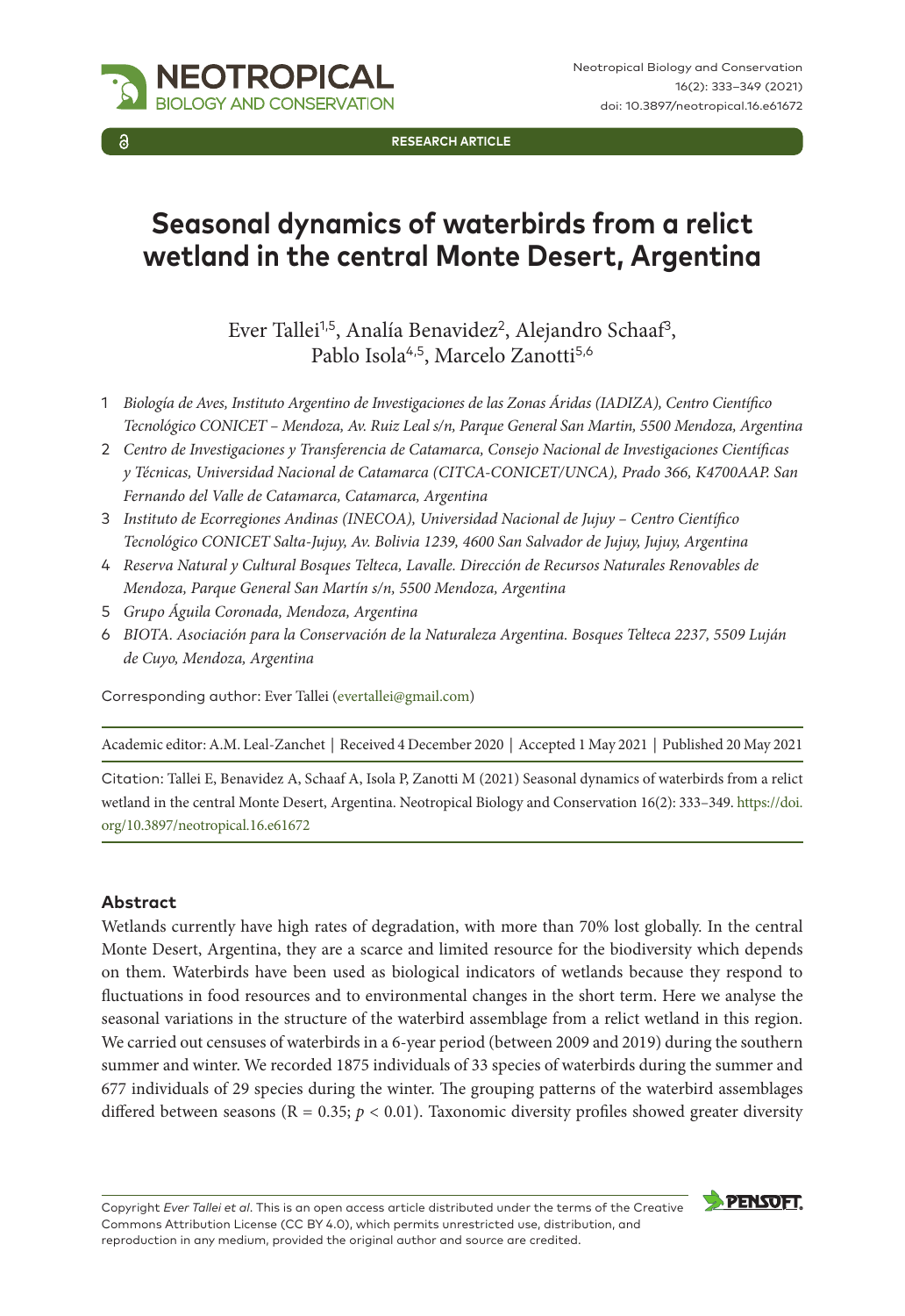

**RESEARCH ARTICLE**

# **Seasonal dynamics of waterbirds from a relict wetland in the central Monte Desert, Argentina**

Ever Tallei<sup>1,5</sup>, Analía Benavidez<sup>2</sup>, Alejandro Schaaf<sup>3</sup>, Pablo Isola<sup>4,5</sup>, Marcelo Zanotti<sup>5,6</sup>

- 1 *Biología de Aves, Instituto Argentino de Investigaciones de las Zonas Áridas (IADIZA), Centro Científico Tecnológico CONICET – Mendoza, Av. Ruiz Leal s/n, Parque General San Martin, 5500 Mendoza, Argentina*
- 2 *Centro de Investigaciones y Transferencia de Catamarca, Consejo Nacional de Investigaciones Científicas y Técnicas, Universidad Nacional de Catamarca (CITCA-CONICET/UNCA), Prado 366, K4700AAP. San Fernando del Valle de Catamarca, Catamarca, Argentina*
- 3 *Instituto de Ecorregiones Andinas (INECOA), Universidad Nacional de Jujuy Centro Científico Tecnológico CONICET Salta-Jujuy, Av. Bolivia 1239, 4600 San Salvador de Jujuy, Jujuy, Argentina*
- 4 *Reserva Natural y Cultural Bosques Telteca, Lavalle. Dirección de Recursos Naturales Renovables de Mendoza, Parque General San Martín s/n, 5500 Mendoza, Argentina*
- 5 *Grupo Águila Coronada, Mendoza, Argentina*
- 6 *BIOTA. Asociación para la Conservación de la Naturaleza Argentina. Bosques Telteca 2237, 5509 Luján de Cuyo, Mendoza, Argentina*

Corresponding author: Ever Tallei ([evertallei@gmail.com\)](mailto:evertallei@gmail.com)

Academic editor: A.M. Leal-Zanchet | Received 4 December 2020 | Accepted 1 May 2021 | Published 20 May 2021

Citation: Tallei E, Benavidez A, Schaaf A, Isola P, Zanotti M (2021) Seasonal dynamics of waterbirds from a relict wetland in the central Monte Desert, Argentina. Neotropical Biology and Conservation 16(2): 333–349. [https://doi.](https://doi.org/10.3897/neotropical.16.e61672) [org/10.3897/neotropical.16.e61672](https://doi.org/10.3897/neotropical.16.e61672)

#### **Abstract**

Wetlands currently have high rates of degradation, with more than 70% lost globally. In the central Monte Desert, Argentina, they are a scarce and limited resource for the biodiversity which depends on them. Waterbirds have been used as biological indicators of wetlands because they respond to fluctuations in food resources and to environmental changes in the short term. Here we analyse the seasonal variations in the structure of the waterbird assemblage from a relict wetland in this region. We carried out censuses of waterbirds in a 6-year period (between 2009 and 2019) during the southern summer and winter. We recorded 1875 individuals of 33 species of waterbirds during the summer and 677 individuals of 29 species during the winter. The grouping patterns of the waterbird assemblages differed between seasons (R = 0.35;  $p < 0.01$ ). Taxonomic diversity profiles showed greater diversity

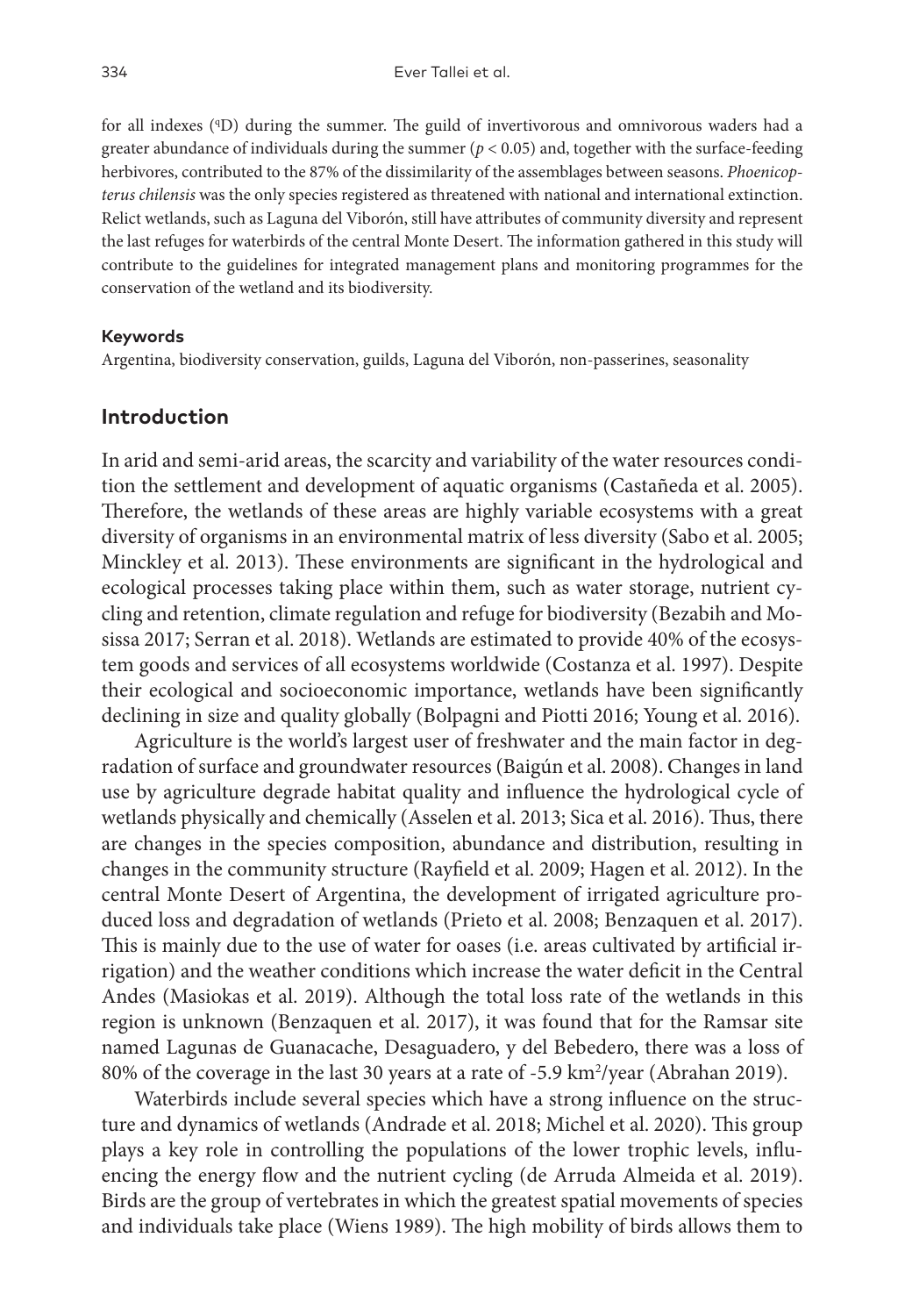for all indexes (ID) during the summer. The guild of invertivorous and omnivorous waders had a greater abundance of individuals during the summer  $(p < 0.05)$  and, together with the surface-feeding herbivores, contributed to the 87% of the dissimilarity of the assemblages between seasons. *Phoenicopterus chilensis* was the only species registered as threatened with national and international extinction. Relict wetlands, such as Laguna del Viborón, still have attributes of community diversity and represent the last refuges for waterbirds of the central Monte Desert. The information gathered in this study will contribute to the guidelines for integrated management plans and monitoring programmes for the conservation of the wetland and its biodiversity.

#### **Keywords**

Argentina, biodiversity conservation, guilds, Laguna del Viborón, non-passerines, seasonality

## **Introduction**

In arid and semi-arid areas, the scarcity and variability of the water resources condition the settlement and development of aquatic organisms (Castañeda et al. 2005). Therefore, the wetlands of these areas are highly variable ecosystems with a great diversity of organisms in an environmental matrix of less diversity (Sabo et al. 2005; Minckley et al. 2013). These environments are significant in the hydrological and ecological processes taking place within them, such as water storage, nutrient cycling and retention, climate regulation and refuge for biodiversity (Bezabih and Mosissa 2017; Serran et al. 2018). Wetlands are estimated to provide 40% of the ecosystem goods and services of all ecosystems worldwide (Costanza et al. 1997). Despite their ecological and socioeconomic importance, wetlands have been significantly declining in size and quality globally (Bolpagni and Piotti 2016; Young et al. 2016).

Agriculture is the world's largest user of freshwater and the main factor in degradation of surface and groundwater resources (Baigún et al. 2008). Changes in land use by agriculture degrade habitat quality and influence the hydrological cycle of wetlands physically and chemically (Asselen et al. 2013; Sica et al. 2016). Thus, there are changes in the species composition, abundance and distribution, resulting in changes in the community structure (Rayfield et al. 2009; Hagen et al. 2012). In the central Monte Desert of Argentina, the development of irrigated agriculture produced loss and degradation of wetlands (Prieto et al. 2008; Benzaquen et al. 2017). This is mainly due to the use of water for oases (i.e. areas cultivated by artificial irrigation) and the weather conditions which increase the water deficit in the Central Andes (Masiokas et al. 2019). Although the total loss rate of the wetlands in this region is unknown (Benzaquen et al. 2017), it was found that for the Ramsar site named Lagunas de Guanacache, Desaguadero, y del Bebedero, there was a loss of 80% of the coverage in the last 30 years at a rate of -5.9 km<sup>2</sup>/year (Abrahan 2019).

Waterbirds include several species which have a strong influence on the structure and dynamics of wetlands (Andrade et al. 2018; Michel et al. 2020). This group plays a key role in controlling the populations of the lower trophic levels, influencing the energy flow and the nutrient cycling (de Arruda Almeida et al. 2019). Birds are the group of vertebrates in which the greatest spatial movements of species and individuals take place (Wiens 1989). The high mobility of birds allows them to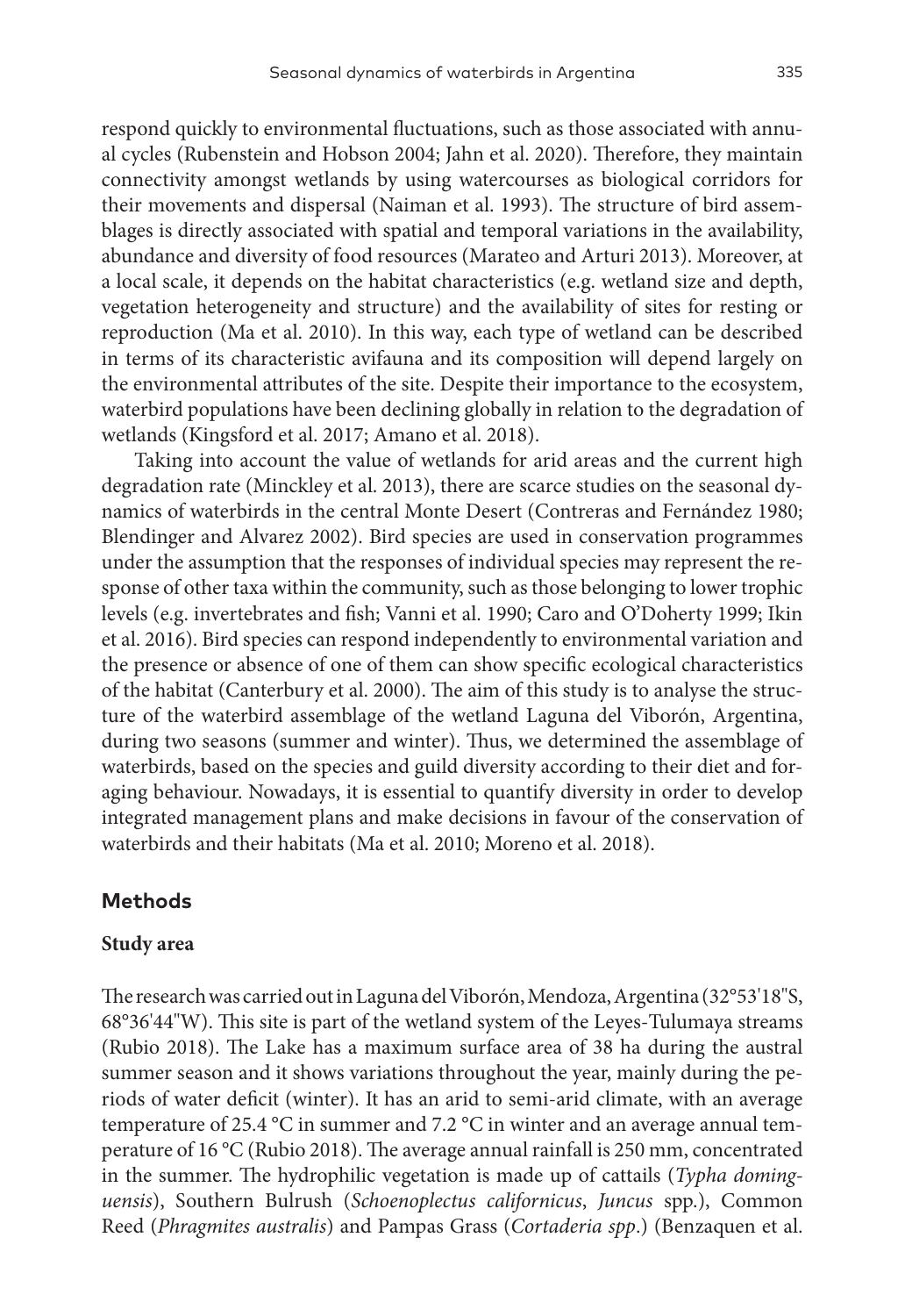respond quickly to environmental fluctuations, such as those associated with annual cycles (Rubenstein and Hobson 2004; Jahn et al. 2020). Therefore, they maintain connectivity amongst wetlands by using watercourses as biological corridors for their movements and dispersal (Naiman et al. 1993). The structure of bird assemblages is directly associated with spatial and temporal variations in the availability, abundance and diversity of food resources (Marateo and Arturi 2013). Moreover, at a local scale, it depends on the habitat characteristics (e.g. wetland size and depth, vegetation heterogeneity and structure) and the availability of sites for resting or reproduction (Ma et al. 2010). In this way, each type of wetland can be described in terms of its characteristic avifauna and its composition will depend largely on the environmental attributes of the site. Despite their importance to the ecosystem, waterbird populations have been declining globally in relation to the degradation of wetlands (Kingsford et al. 2017; Amano et al. 2018).

Taking into account the value of wetlands for arid areas and the current high degradation rate (Minckley et al. 2013), there are scarce studies on the seasonal dynamics of waterbirds in the central Monte Desert (Contreras and Fernández 1980; Blendinger and Alvarez 2002). Bird species are used in conservation programmes under the assumption that the responses of individual species may represent the response of other taxa within the community, such as those belonging to lower trophic levels (e.g. invertebrates and fish; Vanni et al. 1990; Caro and O'Doherty 1999; Ikin et al. 2016). Bird species can respond independently to environmental variation and the presence or absence of one of them can show specific ecological characteristics of the habitat (Canterbury et al. 2000). The aim of this study is to analyse the structure of the waterbird assemblage of the wetland Laguna del Viborón, Argentina, during two seasons (summer and winter). Thus, we determined the assemblage of waterbirds, based on the species and guild diversity according to their diet and foraging behaviour. Nowadays, it is essential to quantify diversity in order to develop integrated management plans and make decisions in favour of the conservation of waterbirds and their habitats (Ma et al. 2010; Moreno et al. 2018).

### **Methods**

#### **Study area**

The research was carried out in Laguna del Viborón, Mendoza, Argentina (32°53'18"S, 68°36'44"W). This site is part of the wetland system of the Leyes-Tulumaya streams (Rubio 2018). The Lake has a maximum surface area of 38 ha during the austral summer season and it shows variations throughout the year, mainly during the periods of water deficit (winter). It has an arid to semi-arid climate, with an average temperature of 25.4 °C in summer and 7.2 °C in winter and an average annual temperature of 16 °C (Rubio 2018). The average annual rainfall is 250 mm, concentrated in the summer. The hydrophilic vegetation is made up of cattails (*Typha dominguensis*), Southern Bulrush (*Schoenoplectus californicus*, *Juncus*  spp.), Common Reed (*Phragmites australis*) and Pampas Grass (*Cortaderia spp*.) (Benzaquen et al.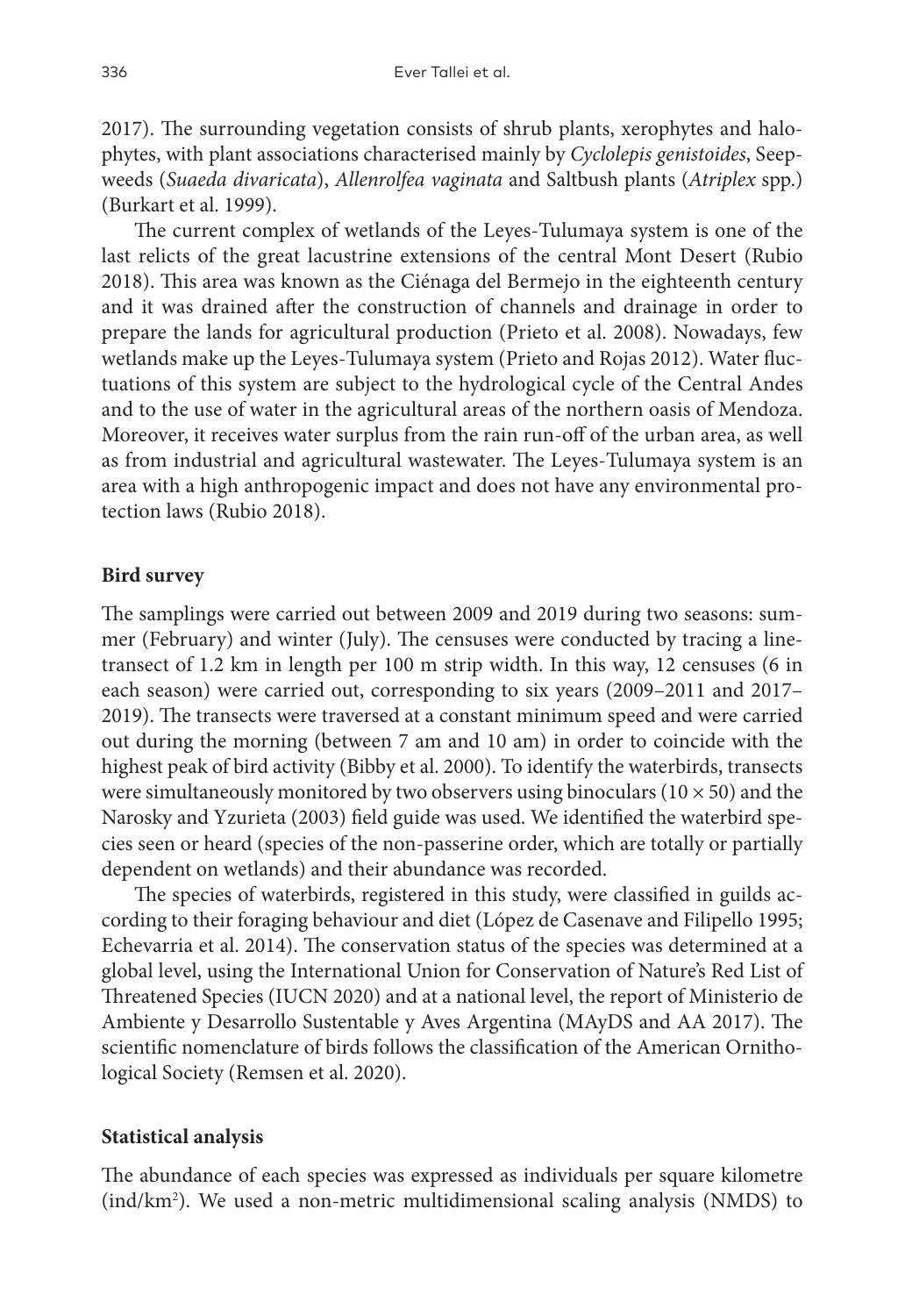2017). The surrounding vegetation consists of shrub plants, xerophytes and halophytes, with plant associations characterised mainly by *Cyclolepis genistoides*, Seepweeds (*Suaeda divaricata*), *Allenrolfea vaginata* and Saltbush plants (*Atriplex* spp.) (Burkart et al. 1999).

The current complex of wetlands of the Leyes-Tulumaya system is one of the last relicts of the great lacustrine extensions of the central Mont Desert (Rubio 2018). This area was known as the Ciénaga del Bermejo in the eighteenth century and it was drained after the construction of channels and drainage in order to prepare the lands for agricultural production (Prieto et al. 2008). Nowadays, few wetlands make up the Leyes-Tulumaya system (Prieto and Rojas 2012). Water fluctuations of this system are subject to the hydrological cycle of the Central Andes and to the use of water in the agricultural areas of the northern oasis of Mendoza. Moreover, it receives water surplus from the rain run-off of the urban area, as well as from industrial and agricultural wastewater. The Leyes-Tulumaya system is an area with a high anthropogenic impact and does not have any environmental protection laws (Rubio 2018).

#### **Bird survey**

The samplings were carried out between 2009 and 2019 during two seasons: summer (February) and winter (July). The censuses were conducted by tracing a linetransect of 1.2 km in length per 100 m strip width. In this way, 12 censuses (6 in each season) were carried out, corresponding to six years (2009–2011 and 2017– 2019). The transects were traversed at a constant minimum speed and were carried out during the morning (between 7 am and 10 am) in order to coincide with the highest peak of bird activity (Bibby et al. 2000). To identify the waterbirds, transects were simultaneously monitored by two observers using binoculars ( $10 \times 50$ ) and the Narosky and Yzurieta (2003) field guide was used. We identified the waterbird species seen or heard (species of the non-passerine order, which are totally or partially dependent on wetlands) and their abundance was recorded.

The species of waterbirds, registered in this study, were classified in guilds according to their foraging behaviour and diet (López de Casenave and Filipello 1995; Echevarria et al. 2014). The conservation status of the species was determined at a global level, using the International Union for Conservation of Nature's Red List of Threatened Species (IUCN 2020) and at a national level, the report of Ministerio de Ambiente y Desarrollo Sustentable y Aves Argentina (MAyDS and AA 2017). The scientific nomenclature of birds follows the classification of the American Ornithological Society (Remsen et al. 2020).

#### **Statistical analysis**

The abundance of each species was expressed as individuals per square kilometre (ind/km2 ). We used a non-metric multidimensional scaling analysis (NMDS) to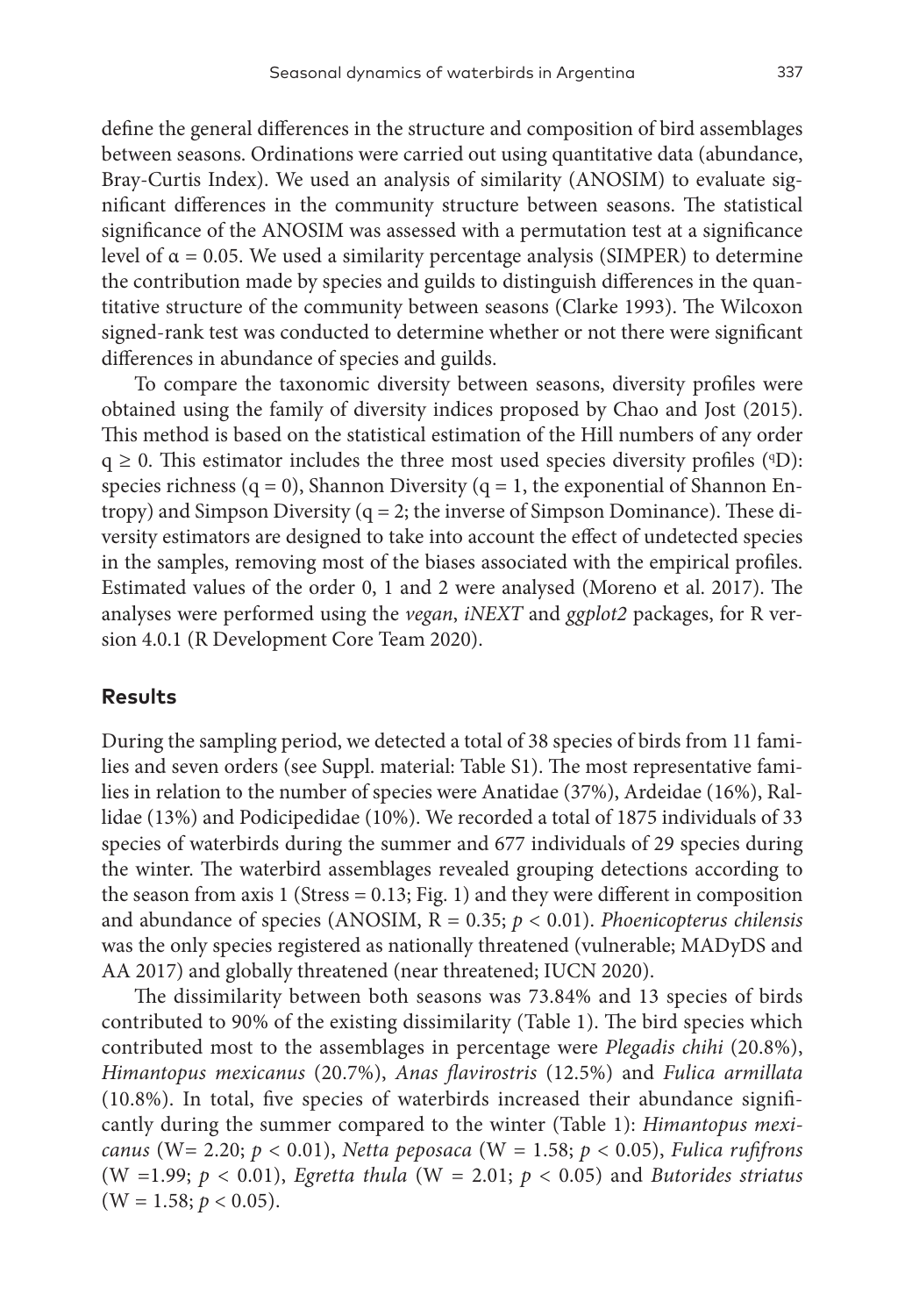define the general differences in the structure and composition of bird assemblages between seasons. Ordinations were carried out using quantitative data (abundance, Bray-Curtis Index). We used an analysis of similarity (ANOSIM) to evaluate significant differences in the community structure between seasons. The statistical significance of the ANOSIM was assessed with a permutation test at a significance level of  $\alpha = 0.05$ . We used a similarity percentage analysis (SIMPER) to determine the contribution made by species and guilds to distinguish differences in the quantitative structure of the community between seasons (Clarke 1993). The Wilcoxon signed-rank test was conducted to determine whether or not there were significant differences in abundance of species and guilds.

To compare the taxonomic diversity between seasons, diversity profiles were obtained using the family of diversity indices proposed by Chao and Jost (2015). This method is based on the statistical estimation of the Hill numbers of any order  $q \ge 0$ . This estimator includes the three most used species diversity profiles ( $qD$ ): species richness (q = 0), Shannon Diversity (q = 1, the exponential of Shannon Entropy) and Simpson Diversity  $(q = 2$ ; the inverse of Simpson Dominance). These diversity estimators are designed to take into account the effect of undetected species in the samples, removing most of the biases associated with the empirical profiles. Estimated values of the order 0, 1 and 2 were analysed (Moreno et al. 2017). The analyses were performed using the *vegan*, *iNEXT* and *ggplot2* packages, for R version 4.0.1 (R Development Core Team 2020).

## **Results**

During the sampling period, we detected a total of 38 species of birds from 11 families and seven orders (see Suppl. material: Table S1). The most representative families in relation to the number of species were Anatidae (37%), Ardeidae (16%), Rallidae (13%) and Podicipedidae (10%). We recorded a total of 1875 individuals of 33 species of waterbirds during the summer and 677 individuals of 29 species during the winter. The waterbird assemblages revealed grouping detections according to the season from axis 1 (Stress =  $0.13$ ; Fig. 1) and they were different in composition and abundance of species (ANOSIM, R = 0.35; *p* < 0.01). *Phoenicopterus chilensis* was the only species registered as nationally threatened (vulnerable; MADyDS and AA 2017) and globally threatened (near threatened; IUCN 2020).

The dissimilarity between both seasons was 73.84% and 13 species of birds contributed to 90% of the existing dissimilarity (Table 1). The bird species which contributed most to the assemblages in percentage were *Plegadis chihi* (20.8%), *Himantopus mexicanus* (20.7%), *Anas flavirostris* (12.5%) and *Fulica armillata* (10.8%). In total, five species of waterbirds increased their abundance significantly during the summer compared to the winter (Table 1): *Himantopus mexicanus* (W= 2.20; *p* < 0.01), *Netta peposaca* (W = 1.58; *p* < 0.05), *Fulica rufifrons* (W =1.99; *p* < 0.01), *Egretta thula* (W = 2.01; *p* < 0.05) and *Butorides striatus*  $(W = 1.58; p < 0.05).$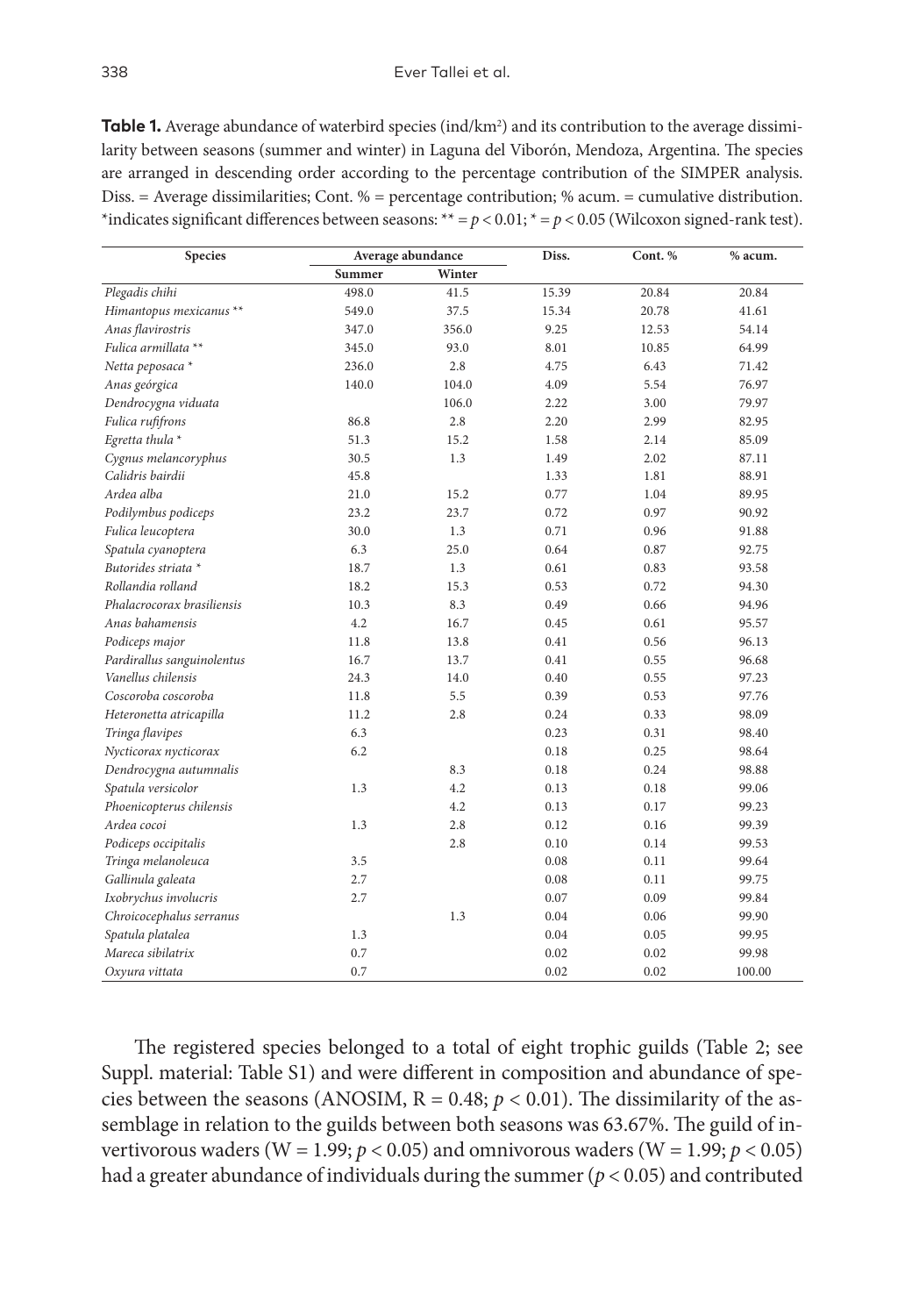**Table 1.** Average abundance of waterbird species (ind/km2 ) and its contribution to the average dissimilarity between seasons (summer and winter) in Laguna del Viborón, Mendoza, Argentina. The species are arranged in descending order according to the percentage contribution of the SIMPER analysis. Diss. = Average dissimilarities; Cont. % = percentage contribution; % acum. = cumulative distribution. \*indicates significant differences between seasons: \*\*  $=p$  < 0.01;  $* = p$  < 0.05 (Wilcoxon signed-rank test).

| Species                    | Average abundance |        | Diss. | Cont. % | % acum. |  |
|----------------------------|-------------------|--------|-------|---------|---------|--|
|                            | Summer            | Winter |       |         |         |  |
| Plegadis chihi             | 498.0             | 41.5   | 15.39 | 20.84   | 20.84   |  |
| Himantopus mexicanus **    | 549.0             | 37.5   | 15.34 | 20.78   | 41.61   |  |
| Anas flavirostris          | 347.0             | 356.0  | 9.25  | 12.53   | 54.14   |  |
| Fulica armillata **        | 345.0             | 93.0   | 8.01  | 10.85   | 64.99   |  |
| Netta peposaca *           | 236.0             | 2.8    | 4.75  | 6.43    | 71.42   |  |
| Anas geórgica              | 140.0             | 104.0  | 4.09  | 5.54    | 76.97   |  |
| Dendrocygna viduata        |                   | 106.0  | 2.22  | 3.00    | 79.97   |  |
| Fulica rufifrons           | 86.8              | 2.8    | 2.20  | 2.99    | 82.95   |  |
| Egretta thula *            | 51.3              | 15.2   | 1.58  | 2.14    | 85.09   |  |
| Cygnus melancoryphus       | 30.5              | 1.3    | 1.49  | 2.02    | 87.11   |  |
| Calidris bairdii           | 45.8              |        | 1.33  | 1.81    | 88.91   |  |
| Ardea alba                 | 21.0              | 15.2   | 0.77  | 1.04    | 89.95   |  |
| Podilymbus podiceps        | 23.2              | 23.7   | 0.72  | 0.97    | 90.92   |  |
| Fulica leucoptera          | 30.0              | 1.3    | 0.71  | 0.96    | 91.88   |  |
| Spatula cyanoptera         | 6.3               | 25.0   | 0.64  | 0.87    | 92.75   |  |
| Butorides striata *        | 18.7              | 1.3    | 0.61  | 0.83    | 93.58   |  |
| Rollandia rolland          | 18.2              | 15.3   | 0.53  | 0.72    | 94.30   |  |
| Phalacrocorax brasiliensis | 10.3              | 8.3    | 0.49  | 0.66    | 94.96   |  |
| Anas bahamensis            | 4.2               | 16.7   | 0.45  | 0.61    | 95.57   |  |
| Podiceps major             | 11.8              | 13.8   | 0.41  | 0.56    | 96.13   |  |
| Pardirallus sanguinolentus | 16.7              | 13.7   | 0.41  | 0.55    | 96.68   |  |
| Vanellus chilensis         | 24.3              | 14.0   | 0.40  | 0.55    | 97.23   |  |
| Coscoroba coscoroba        | 11.8              | 5.5    | 0.39  | 0.53    | 97.76   |  |
| Heteronetta atricapilla    | 11.2              | 2.8    | 0.24  | 0.33    | 98.09   |  |
| Tringa flavipes            | 6.3               |        | 0.23  | 0.31    | 98.40   |  |
| Nycticorax nycticorax      | 6.2               |        | 0.18  | 0.25    | 98.64   |  |
| Dendrocygna autumnalis     |                   | 8.3    | 0.18  | 0.24    | 98.88   |  |
| Spatula versicolor         | 1.3               | 4.2    | 0.13  | 0.18    | 99.06   |  |
| Phoenicopterus chilensis   |                   | 4.2    | 0.13  | 0.17    | 99.23   |  |
| Ardea cocoi                | 1.3               | 2.8    | 0.12  | 0.16    | 99.39   |  |
| Podiceps occipitalis       |                   | 2.8    | 0.10  | 0.14    | 99.53   |  |
| Tringa melanoleuca         | 3.5               |        | 0.08  | 0.11    | 99.64   |  |
| Gallinula galeata          | 2.7               |        | 0.08  | 0.11    | 99.75   |  |
| Ixobrychus involucris      | 2.7               |        | 0.07  | 0.09    | 99.84   |  |
| Chroicocephalus serranus   |                   | 1.3    | 0.04  | 0.06    | 99.90   |  |
| Spatula platalea           | 1.3               |        | 0.04  | 0.05    | 99.95   |  |
| Mareca sibilatrix          | 0.7               |        | 0.02  | 0.02    | 99.98   |  |
| Oxyura vittata             | 0.7               |        | 0.02  | 0.02    | 100.00  |  |

The registered species belonged to a total of eight trophic guilds (Table 2; see Suppl. material: Table S1) and were different in composition and abundance of species between the seasons (ANOSIM,  $R = 0.48$ ;  $p < 0.01$ ). The dissimilarity of the assemblage in relation to the guilds between both seasons was 63.67%. The guild of invertivorous waders (W = 1.99;  $p < 0.05$ ) and omnivorous waders (W = 1.99;  $p < 0.05$ ) had a greater abundance of individuals during the summer (*p* < 0.05) and contributed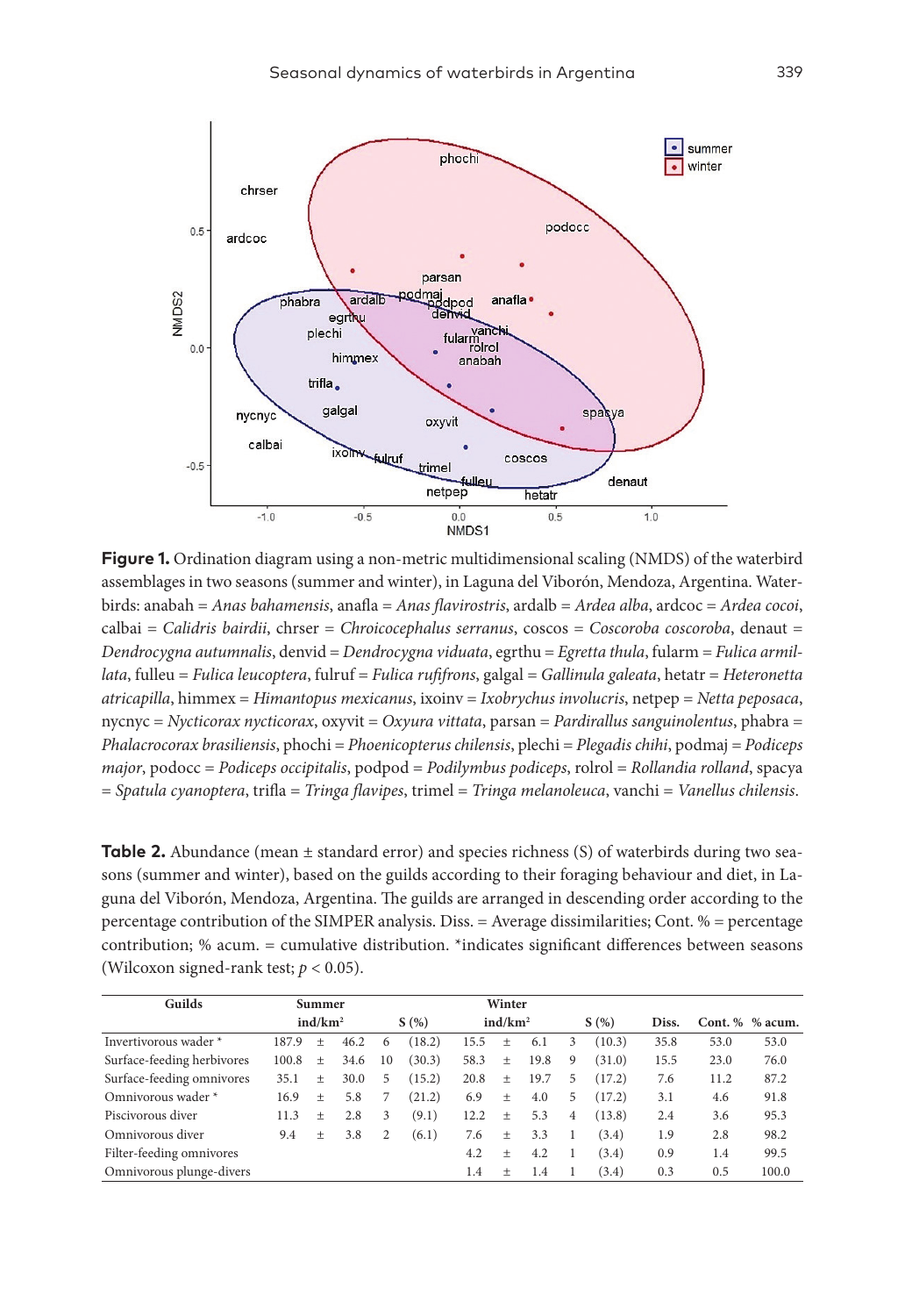

**Figure 1.** Ordination diagram using a non-metric multidimensional scaling (NMDS) of the waterbird assemblages in two seasons (summer and winter), in Laguna del Viborón, Mendoza, Argentina. Waterbirds: anabah = *Anas bahamensis*, anafla = *Anas flavirostris*, ardalb = *Ardea alba*, ardcoc = *Ardea cocoi*, calbai = *Calidris bairdii*, chrser = *Chroicocephalus serranus*, coscos = *Coscoroba coscoroba*, denaut = *Dendrocygna autumnalis*, denvid = *Dendrocygna viduata*, egrthu = *Egretta thula*, fularm = *Fulica armillata*, fulleu = *Fulica leucoptera*, fulruf = *Fulica rufifrons*, galgal = *Gallinula galeata*, hetatr = *Heteronetta atricapilla*, himmex = *Himantopus mexicanus*, ixoinv = *Ixobrychus involucris*, netpep = *Netta peposaca*, nycnyc = *Nycticorax nycticorax*, oxyvit = *Oxyura vittata*, parsan = *Pardirallus sanguinolentus*, phabra = *Phalacrocorax brasiliensis*, phochi = *Phoenicopterus chilensis*, plechi = *Plegadis chihi*, podmaj = *Podiceps major*, podocc = *Podiceps occipitalis*, podpod = *Podilymbus podiceps*, rolrol = *Rollandia rolland*, spacya = *Spatula cyanoptera*, trifla = *Tringa flavipes*, trimel = *Tringa melanoleuca*, vanchi = *Vanellus chilensis*.

**Table 2.** Abundance (mean  $\pm$  standard error) and species richness (S) of waterbirds during two seasons (summer and winter), based on the guilds according to their foraging behaviour and diet, in Laguna del Viborón, Mendoza, Argentina. The guilds are arranged in descending order according to the percentage contribution of the SIMPER analysis. Diss. = Average dissimilarities; Cont. % = percentage contribution; % acum. = cumulative distribution. \*indicates significant differences between seasons (Wilcoxon signed-rank test; *p* < 0.05).

| Guilds                     | Summer              |                                  |      | Winter |        |                     |                                  |      |   |        |      |                 |       |
|----------------------------|---------------------|----------------------------------|------|--------|--------|---------------------|----------------------------------|------|---|--------|------|-----------------|-------|
|                            | ind/km <sup>2</sup> |                                  | S(%) |        |        | ind/km <sup>2</sup> |                                  | S(%) |   | Diss.  |      | Cont. % % acum. |       |
| Invertivorous wader *      | 187.9               | $^{+}$                           | 46.2 | 6      | (18.2) | 15.5                | $^{+}$                           | 6.1  | 3 | (10.3) | 35.8 | 53.0            | 53.0  |
| Surface-feeding herbivores | 100.8               | $^{+}$                           | 34.6 | 10     | (30.3) | 58.3                | $\begin{array}{c} + \end{array}$ | 19.8 | 9 | (31.0) | 15.5 | 23.0            | 76.0  |
| Surface-feeding omnivores  | 35.1                | $^{+}$                           | 30.0 | 5      | (15.2) | 20.8                | $\begin{array}{c} + \end{array}$ | 19.7 | 5 | (17.2) | 7.6  | 11.2            | 87.2  |
| Omnivorous wader *         | 16.9                | $\begin{array}{c} + \end{array}$ | 5.8  | 7      | (21.2) | 6.9                 | $^{+}$                           | 4.0  | 5 | (17.2) | 3.1  | 4.6             | 91.8  |
| Piscivorous diver          | 11.3                | $^{+}$                           | 2.8  | 3      | (9.1)  | 12.2                | $+$                              | 5.3  | 4 | (13.8) | 2.4  | 3.6             | 95.3  |
| Omnivorous diver           | 9.4                 | $^{+}$                           | 3.8  | 2      | (6.1)  | 7.6                 | $\begin{array}{c} + \end{array}$ | 3.3  | 1 | (3.4)  | 1.9  | 2.8             | 98.2  |
| Filter-feeding omnivores   |                     |                                  |      |        |        | 4.2                 | $^{+}$                           | 4.2  |   | (3.4)  | 0.9  | 1.4             | 99.5  |
| Omnivorous plunge-divers   |                     |                                  |      |        |        | 1.4                 | $^{+}$                           | 1.4  |   | (3.4)  | 0.3  | 0.5             | 100.0 |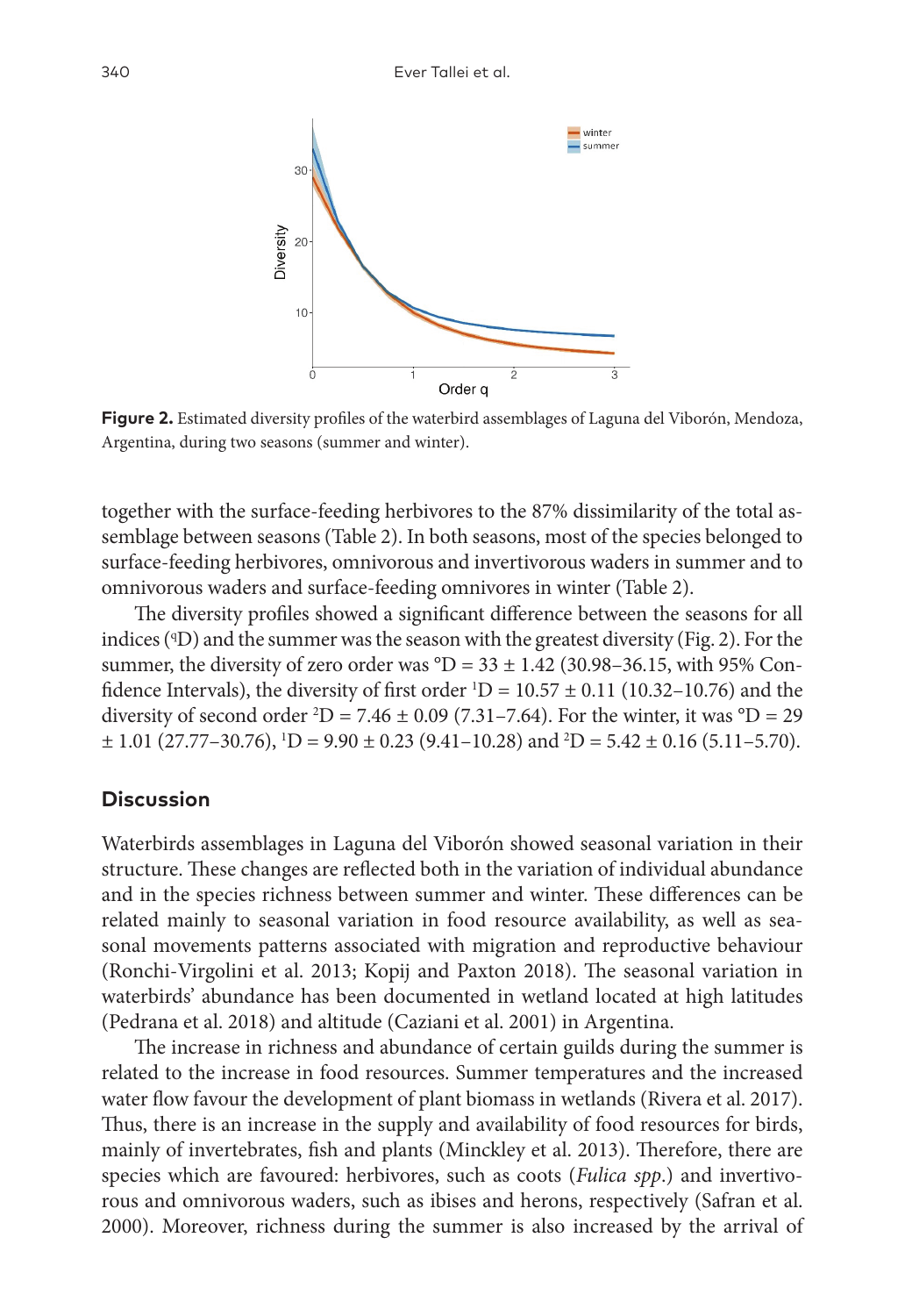

**Figure 2.** Estimated diversity profiles of the waterbird assemblages of Laguna del Viborón, Mendoza, Argentina, during two seasons (summer and winter).

together with the surface-feeding herbivores to the 87% dissimilarity of the total assemblage between seasons (Table 2). In both seasons, most of the species belonged to surface-feeding herbivores, omnivorous and invertivorous waders in summer and to omnivorous waders and surface-feeding omnivores in winter (Table 2).

The diversity profiles showed a significant difference between the seasons for all indices (ID) and the summer was the season with the greatest diversity (Fig. 2). For the summer, the diversity of zero order was  ${}^{\circ}D = 33 \pm 1.42$  (30.98–36.15, with 95% Confidence Intervals), the diversity of first order  $\mathrm{^{1}D} = 10.57 \pm 0.11$  (10.32–10.76) and the diversity of second order <sup>2</sup>D = 7.46  $\pm$  0.09 (7.31–7.64). For the winter, it was <sup>o</sup>D = 29  $\pm$  1.01 (27.77–30.76), <sup>1</sup>D = 9.90  $\pm$  0.23 (9.41–10.28) and <sup>2</sup>D = 5.42  $\pm$  0.16 (5.11–5.70).

### **Discussion**

Waterbirds assemblages in Laguna del Viborón showed seasonal variation in their structure. These changes are reflected both in the variation of individual abundance and in the species richness between summer and winter. These differences can be related mainly to seasonal variation in food resource availability, as well as seasonal movements patterns associated with migration and reproductive behaviour (Ronchi-Virgolini et al. 2013; Kopij and Paxton 2018). The seasonal variation in waterbirds' abundance has been documented in wetland located at high latitudes (Pedrana et al. 2018) and altitude (Caziani et al. 2001) in Argentina.

The increase in richness and abundance of certain guilds during the summer is related to the increase in food resources. Summer temperatures and the increased water flow favour the development of plant biomass in wetlands (Rivera et al. 2017). Thus, there is an increase in the supply and availability of food resources for birds, mainly of invertebrates, fish and plants (Minckley et al. 2013). Therefore, there are species which are favoured: herbivores, such as coots (*Fulica spp*.) and invertivorous and omnivorous waders, such as ibises and herons, respectively (Safran et al. 2000). Moreover, richness during the summer is also increased by the arrival of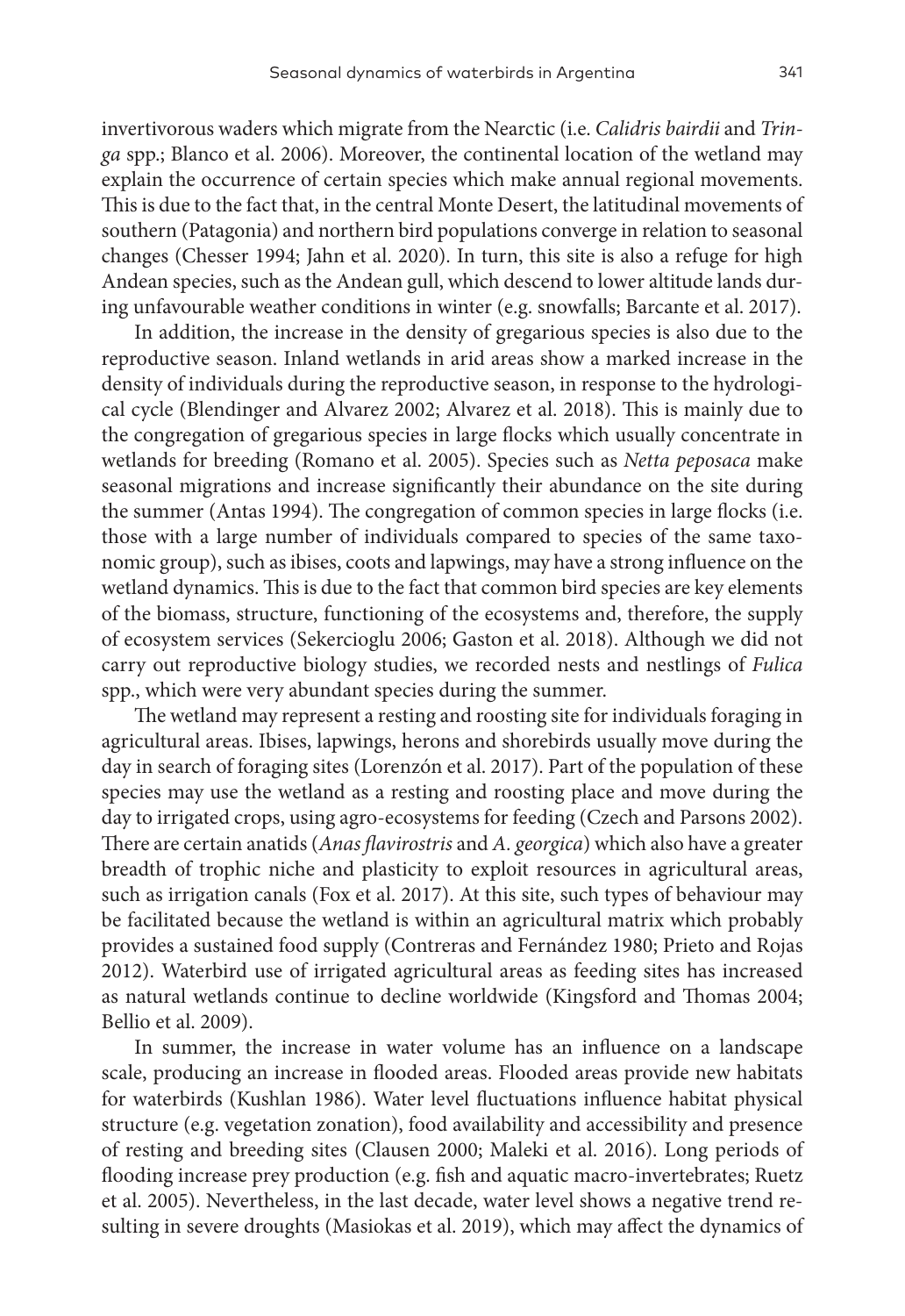invertivorous waders which migrate from the Nearctic (i.e. *Calidris bairdii* and *Tringa* spp.; Blanco et al. 2006). Moreover, the continental location of the wetland may explain the occurrence of certain species which make annual regional movements. This is due to the fact that, in the central Monte Desert, the latitudinal movements of southern (Patagonia) and northern bird populations converge in relation to seasonal changes (Chesser 1994; Jahn et al. 2020). In turn, this site is also a refuge for high Andean species, such as the Andean gull, which descend to lower altitude lands during unfavourable weather conditions in winter (e.g. snowfalls; Barcante et al. 2017).

In addition, the increase in the density of gregarious species is also due to the reproductive season. Inland wetlands in arid areas show a marked increase in the density of individuals during the reproductive season, in response to the hydrological cycle (Blendinger and Alvarez 2002; Alvarez et al. 2018). This is mainly due to the congregation of gregarious species in large flocks which usually concentrate in wetlands for breeding (Romano et al. 2005). Species such as *Netta peposaca* make seasonal migrations and increase significantly their abundance on the site during the summer (Antas 1994). The congregation of common species in large flocks (i.e. those with a large number of individuals compared to species of the same taxonomic group), such as ibises, coots and lapwings, may have a strong influence on the wetland dynamics. This is due to the fact that common bird species are key elements of the biomass, structure, functioning of the ecosystems and, therefore, the supply of ecosystem services (Sekercioglu 2006; Gaston et al. 2018). Although we did not carry out reproductive biology studies, we recorded nests and nestlings of *Fulica*  spp., which were very abundant species during the summer.

The wetland may represent a resting and roosting site for individuals foraging in agricultural areas. Ibises, lapwings, herons and shorebirds usually move during the day in search of foraging sites (Lorenzón et al. 2017). Part of the population of these species may use the wetland as a resting and roosting place and move during the day to irrigated crops, using agro-ecosystems for feeding (Czech and Parsons 2002). There are certain anatids (*Anas flavirostris* and *A. georgica*) which also have a greater breadth of trophic niche and plasticity to exploit resources in agricultural areas, such as irrigation canals (Fox et al. 2017). At this site, such types of behaviour may be facilitated because the wetland is within an agricultural matrix which probably provides a sustained food supply (Contreras and Fernández 1980; Prieto and Rojas 2012). Waterbird use of irrigated agricultural areas as feeding sites has increased as natural wetlands continue to decline worldwide (Kingsford and Thomas 2004; Bellio et al. 2009).

In summer, the increase in water volume has an influence on a landscape scale, producing an increase in flooded areas. Flooded areas provide new habitats for waterbirds (Kushlan 1986). Water level fluctuations influence habitat physical structure (e.g. vegetation zonation), food availability and accessibility and presence of resting and breeding sites (Clausen 2000; Maleki et al. 2016). Long periods of flooding increase prey production (e.g. fish and aquatic macro-invertebrates; Ruetz et al. 2005). Nevertheless, in the last decade, water level shows a negative trend resulting in severe droughts (Masiokas et al. 2019), which may affect the dynamics of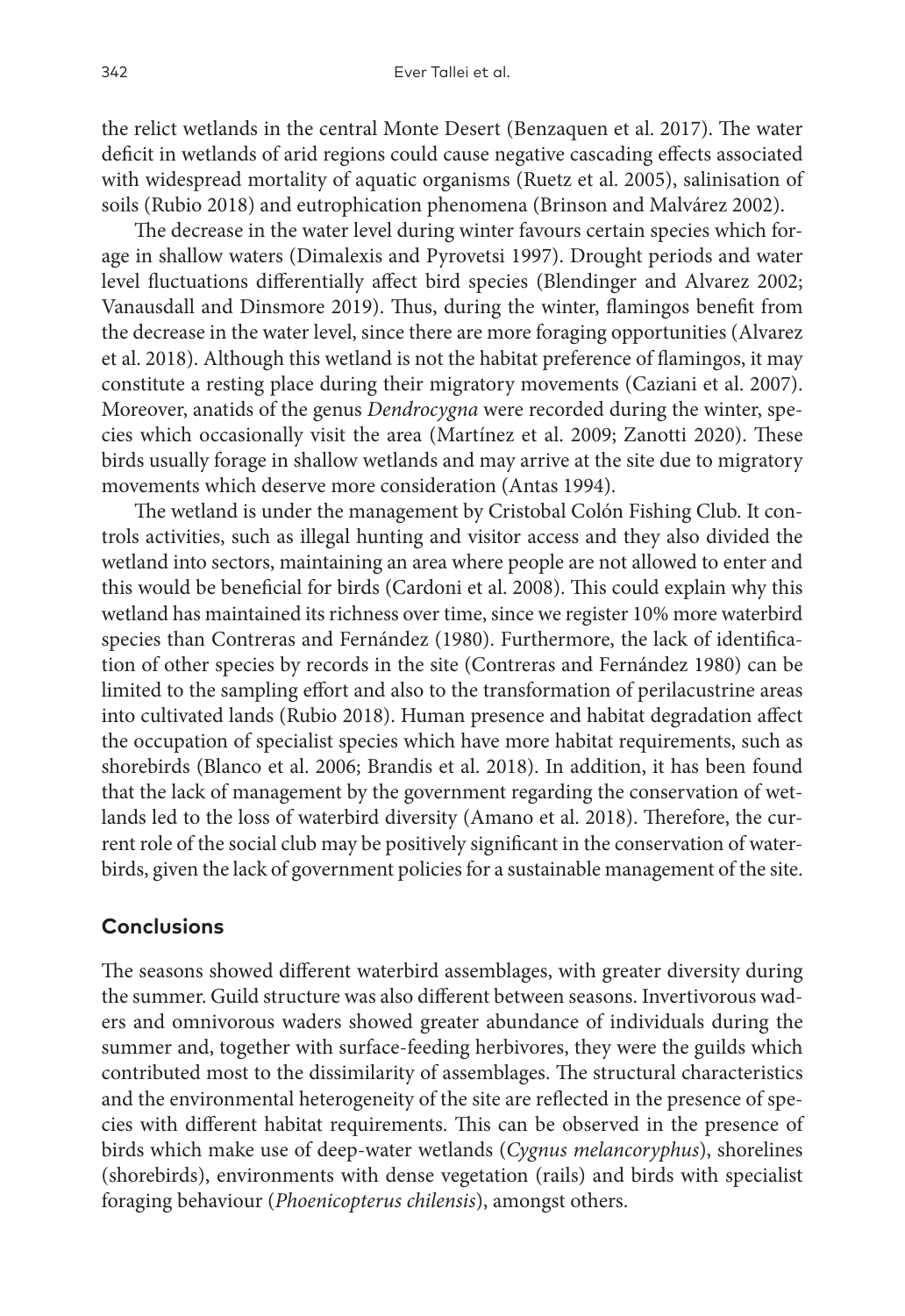the relict wetlands in the central Monte Desert (Benzaquen et al. 2017). The water deficit in wetlands of arid regions could cause negative cascading effects associated with widespread mortality of aquatic organisms (Ruetz et al. 2005), salinisation of soils (Rubio 2018) and eutrophication phenomena (Brinson and Malvárez 2002).

The decrease in the water level during winter favours certain species which forage in shallow waters (Dimalexis and Pyrovetsi 1997). Drought periods and water level fluctuations differentially affect bird species (Blendinger and Alvarez 2002; Vanausdall and Dinsmore 2019). Thus, during the winter, flamingos benefit from the decrease in the water level, since there are more foraging opportunities (Alvarez et al. 2018). Although this wetland is not the habitat preference of flamingos, it may constitute a resting place during their migratory movements (Caziani et al. 2007). Moreover, anatids of the genus *Dendrocygna* were recorded during the winter, species which occasionally visit the area (Martínez et al. 2009; Zanotti 2020). These birds usually forage in shallow wetlands and may arrive at the site due to migratory movements which deserve more consideration (Antas 1994).

The wetland is under the management by Cristobal Colón Fishing Club. It controls activities, such as illegal hunting and visitor access and they also divided the wetland into sectors, maintaining an area where people are not allowed to enter and this would be beneficial for birds (Cardoni et al. 2008). This could explain why this wetland has maintained its richness over time, since we register 10% more waterbird species than Contreras and Fernández (1980). Furthermore, the lack of identification of other species by records in the site (Contreras and Fernández 1980) can be limited to the sampling effort and also to the transformation of perilacustrine areas into cultivated lands (Rubio 2018). Human presence and habitat degradation affect the occupation of specialist species which have more habitat requirements, such as shorebirds (Blanco et al. 2006; Brandis et al. 2018). In addition, it has been found that the lack of management by the government regarding the conservation of wetlands led to the loss of waterbird diversity (Amano et al. 2018). Therefore, the current role of the social club may be positively significant in the conservation of waterbirds, given the lack of government policies for a sustainable management of the site.

## **Conclusions**

The seasons showed different waterbird assemblages, with greater diversity during the summer. Guild structure was also different between seasons. Invertivorous waders and omnivorous waders showed greater abundance of individuals during the summer and, together with surface-feeding herbivores, they were the guilds which contributed most to the dissimilarity of assemblages. The structural characteristics and the environmental heterogeneity of the site are reflected in the presence of species with different habitat requirements. This can be observed in the presence of birds which make use of deep-water wetlands (*Cygnus melancoryphus*), shorelines (shorebirds), environments with dense vegetation (rails) and birds with specialist foraging behaviour (*Phoenicopterus chilensis*), amongst others.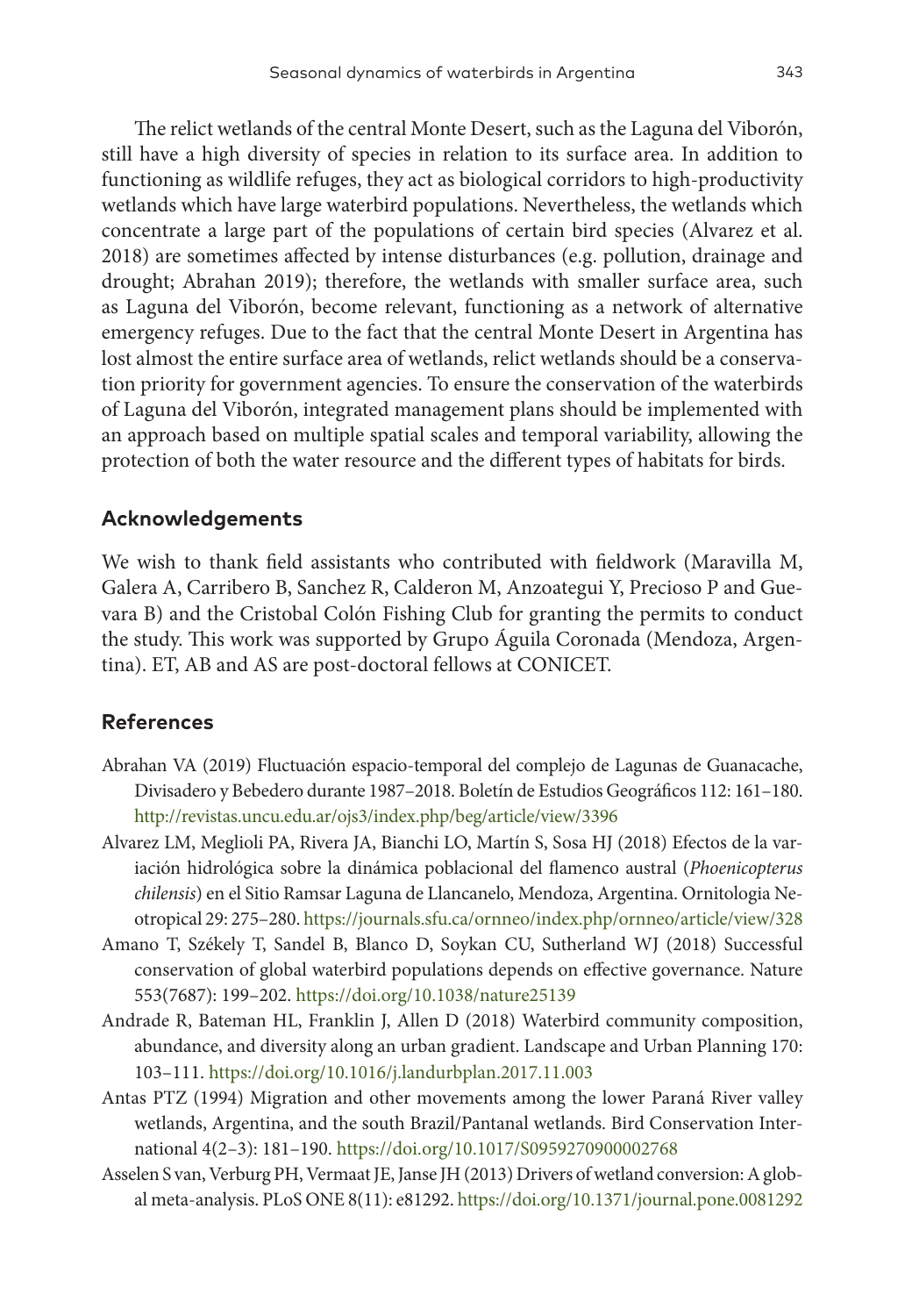The relict wetlands of the central Monte Desert, such as the Laguna del Viborón, still have a high diversity of species in relation to its surface area. In addition to functioning as wildlife refuges, they act as biological corridors to high-productivity wetlands which have large waterbird populations. Nevertheless, the wetlands which concentrate a large part of the populations of certain bird species (Alvarez et al. 2018) are sometimes affected by intense disturbances (e.g. pollution, drainage and drought; Abrahan 2019); therefore, the wetlands with smaller surface area, such as Laguna del Viborón, become relevant, functioning as a network of alternative emergency refuges. Due to the fact that the central Monte Desert in Argentina has lost almost the entire surface area of wetlands, relict wetlands should be a conservation priority for government agencies. To ensure the conservation of the waterbirds of Laguna del Viborón, integrated management plans should be implemented with an approach based on multiple spatial scales and temporal variability, allowing the protection of both the water resource and the different types of habitats for birds.

## **Acknowledgements**

We wish to thank field assistants who contributed with fieldwork (Maravilla M, Galera A, Carribero B, Sanchez R, Calderon M, Anzoategui Y, Precioso P and Guevara B) and the Cristobal Colón Fishing Club for granting the permits to conduct the study. This work was supported by Grupo Águila Coronada (Mendoza, Argentina). ET, AB and AS are post-doctoral fellows at CONICET.

### **References**

- Abrahan VA (2019) Fluctuación espacio-temporal del complejo de Lagunas de Guanacache, Divisadero y Bebedero durante 1987–2018. Boletín de Estudios Geográficos 112: 161–180. <http://revistas.uncu.edu.ar/ojs3/index.php/beg/article/view/3396>
- Alvarez LM, Meglioli PA, Rivera JA, Bianchi LO, Martín S, Sosa HJ (2018) Efectos de la variación hidrológica sobre la dinámica poblacional del flamenco austral (*Phoenicopterus chilensis*) en el Sitio Ramsar Laguna de Llancanelo, Mendoza, Argentina. Ornitologia Neotropical 29: 275–280.<https://journals.sfu.ca/ornneo/index.php/ornneo/article/view/328>
- Amano T, Székely T, Sandel B, Blanco D, Soykan CU, Sutherland WJ (2018) Successful conservation of global waterbird populations depends on effective governance. Nature 553(7687): 199–202.<https://doi.org/10.1038/nature25139>
- Andrade R, Bateman HL, Franklin J, Allen D (2018) Waterbird community composition, abundance, and diversity along an urban gradient. Landscape and Urban Planning 170: 103–111. <https://doi.org/10.1016/j.landurbplan.2017.11.003>
- Antas PTZ (1994) Migration and other movements among the lower Paraná River valley wetlands, Argentina, and the south Brazil/Pantanal wetlands. Bird Conservation International 4(2–3): 181–190.<https://doi.org/10.1017/S0959270900002768>
- Asselen S van, Verburg PH, Vermaat JE, Janse JH (2013) Drivers of wetland conversion: A global meta-analysis. PLoS ONE 8(11): e81292.<https://doi.org/10.1371/journal.pone.0081292>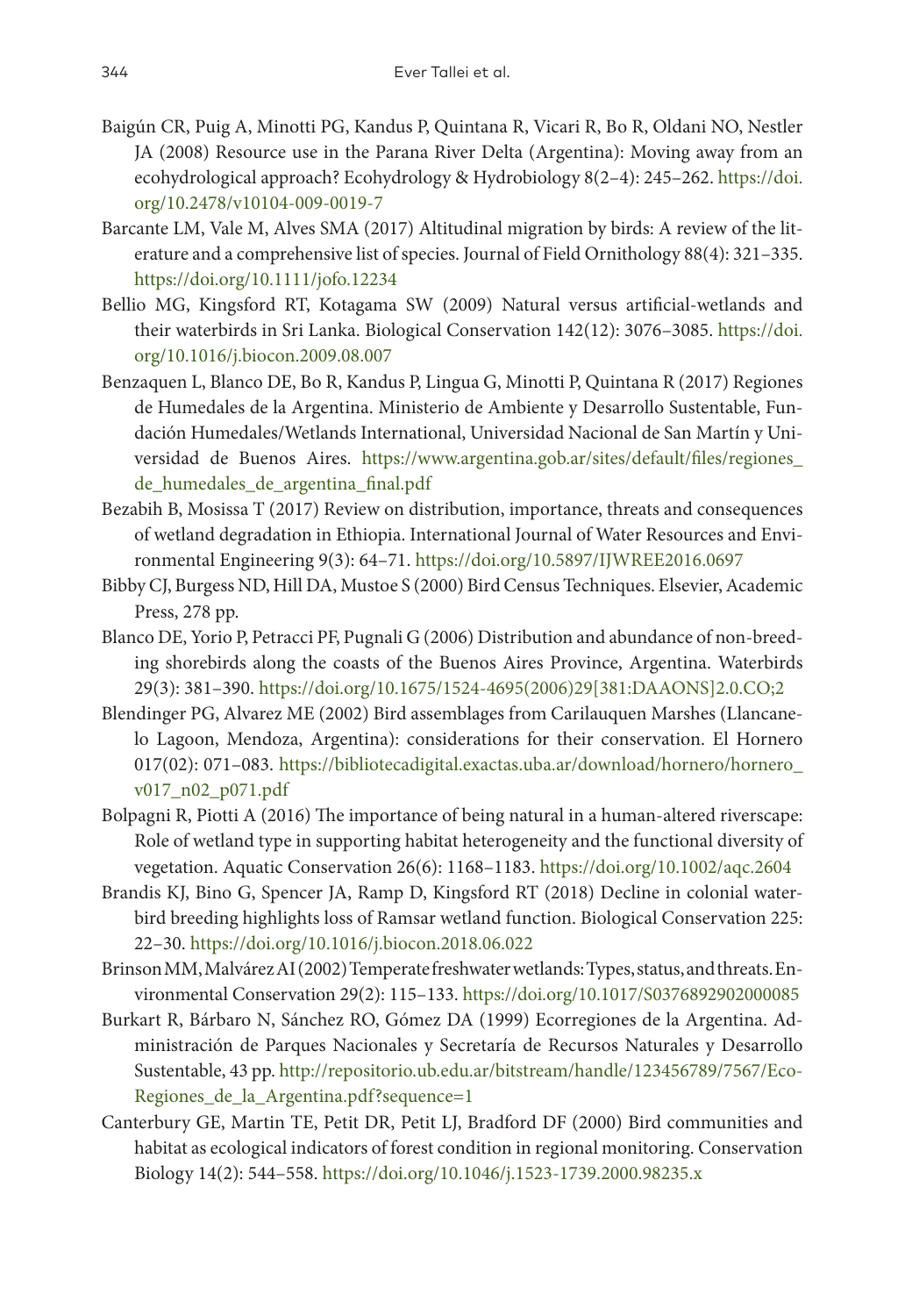- Baigún CR, Puig A, Minotti PG, Kandus P, Quintana R, Vicari R, Bo R, Oldani NO, Nestler JA (2008) Resource use in the Parana River Delta (Argentina): Moving away from an ecohydrological approach? Ecohydrology & Hydrobiology 8(2–4): 245–262. [https://doi.](https://doi.org/10.2478/v10104-009-0019-7) [org/10.2478/v10104-009-0019-7](https://doi.org/10.2478/v10104-009-0019-7)
- Barcante LM, Vale M, Alves SMA (2017) Altitudinal migration by birds: A review of the literature and a comprehensive list of species. Journal of Field Ornithology 88(4): 321–335. <https://doi.org/10.1111/jofo.12234>
- Bellio MG, Kingsford RT, Kotagama SW (2009) Natural versus artificial-wetlands and their waterbirds in Sri Lanka. Biological Conservation 142(12): 3076–3085. [https://doi.](https://doi.org/10.1016/j.biocon.2009.08.007) [org/10.1016/j.biocon.2009.08.007](https://doi.org/10.1016/j.biocon.2009.08.007)
- Benzaquen L, Blanco DE, Bo R, Kandus P, Lingua G, Minotti P, Quintana R (2017) Regiones de Humedales de la Argentina. Ministerio de Ambiente y Desarrollo Sustentable, Fundación Humedales/Wetlands International, Universidad Nacional de San Martín y Universidad de Buenos Aires. [https://www.argentina.gob.ar/sites/default/files/regiones\\_](https://www.argentina.gob.ar/sites/default/files/regiones_de_humedales_de_argentina_final.pdf) [de\\_humedales\\_de\\_argentina\\_final.pdf](https://www.argentina.gob.ar/sites/default/files/regiones_de_humedales_de_argentina_final.pdf)
- Bezabih B, Mosissa T (2017) Review on distribution, importance, threats and consequences of wetland degradation in Ethiopia. International Journal of Water Resources and Environmental Engineering 9(3): 64–71. <https://doi.org/10.5897/IJWREE2016.0697>
- Bibby CJ, Burgess ND, Hill DA, Mustoe S (2000) Bird Census Techniques. Elsevier, Academic Press, 278 pp.
- Blanco DE, Yorio P, Petracci PF, Pugnali G (2006) Distribution and abundance of non-breeding shorebirds along the coasts of the Buenos Aires Province, Argentina. Waterbirds 29(3): 381–390. [https://doi.org/10.1675/1524-4695\(2006\)29\[381:DAAONS\]2.0.CO;2](https://doi.org/10.1675/1524-4695(2006)29%5B381:DAAONS%5D2.0.CO;2)
- Blendinger PG, Alvarez ME (2002) Bird assemblages from Carilauquen Marshes (Llancanelo Lagoon, Mendoza, Argentina): considerations for their conservation. El Hornero 017(02): 071–083. [https://bibliotecadigital.exactas.uba.ar/download/hornero/hornero\\_](https://bibliotecadigital.exactas.uba.ar/download/hornero/hornero_v017_n02_p071.pdf) [v017\\_n02\\_p071.pdf](https://bibliotecadigital.exactas.uba.ar/download/hornero/hornero_v017_n02_p071.pdf)
- Bolpagni R, Piotti A (2016) The importance of being natural in a human-altered riverscape: Role of wetland type in supporting habitat heterogeneity and the functional diversity of vegetation. Aquatic Conservation 26(6): 1168–1183.<https://doi.org/10.1002/aqc.2604>
- Brandis KJ, Bino G, Spencer JA, Ramp D, Kingsford RT (2018) Decline in colonial waterbird breeding highlights loss of Ramsar wetland function. Biological Conservation 225: 22–30.<https://doi.org/10.1016/j.biocon.2018.06.022>
- Brinson MM, Malvárez AI (2002) Temperate freshwater wetlands: Types, status, and threats. Environmental Conservation 29(2): 115–133.<https://doi.org/10.1017/S0376892902000085>
- Burkart R, Bárbaro N, Sánchez RO, Gómez DA (1999) Ecorregiones de la Argentina. Administración de Parques Nacionales y Secretaría de Recursos Naturales y Desarrollo Sustentable, 43 pp. [http://repositorio.ub.edu.ar/bitstream/handle/123456789/7567/Eco-](http://repositorio.ub.edu.ar/bitstream/handle/123456789/7567/Eco-Regiones_de_la_Argentina.pdf?sequence=1)[Regiones\\_de\\_la\\_Argentina.pdf?sequence=1](http://repositorio.ub.edu.ar/bitstream/handle/123456789/7567/Eco-Regiones_de_la_Argentina.pdf?sequence=1)
- Canterbury GE, Martin TE, Petit DR, Petit LJ, Bradford DF (2000) Bird communities and habitat as ecological indicators of forest condition in regional monitoring. Conservation Biology 14(2): 544–558. <https://doi.org/10.1046/j.1523-1739.2000.98235.x>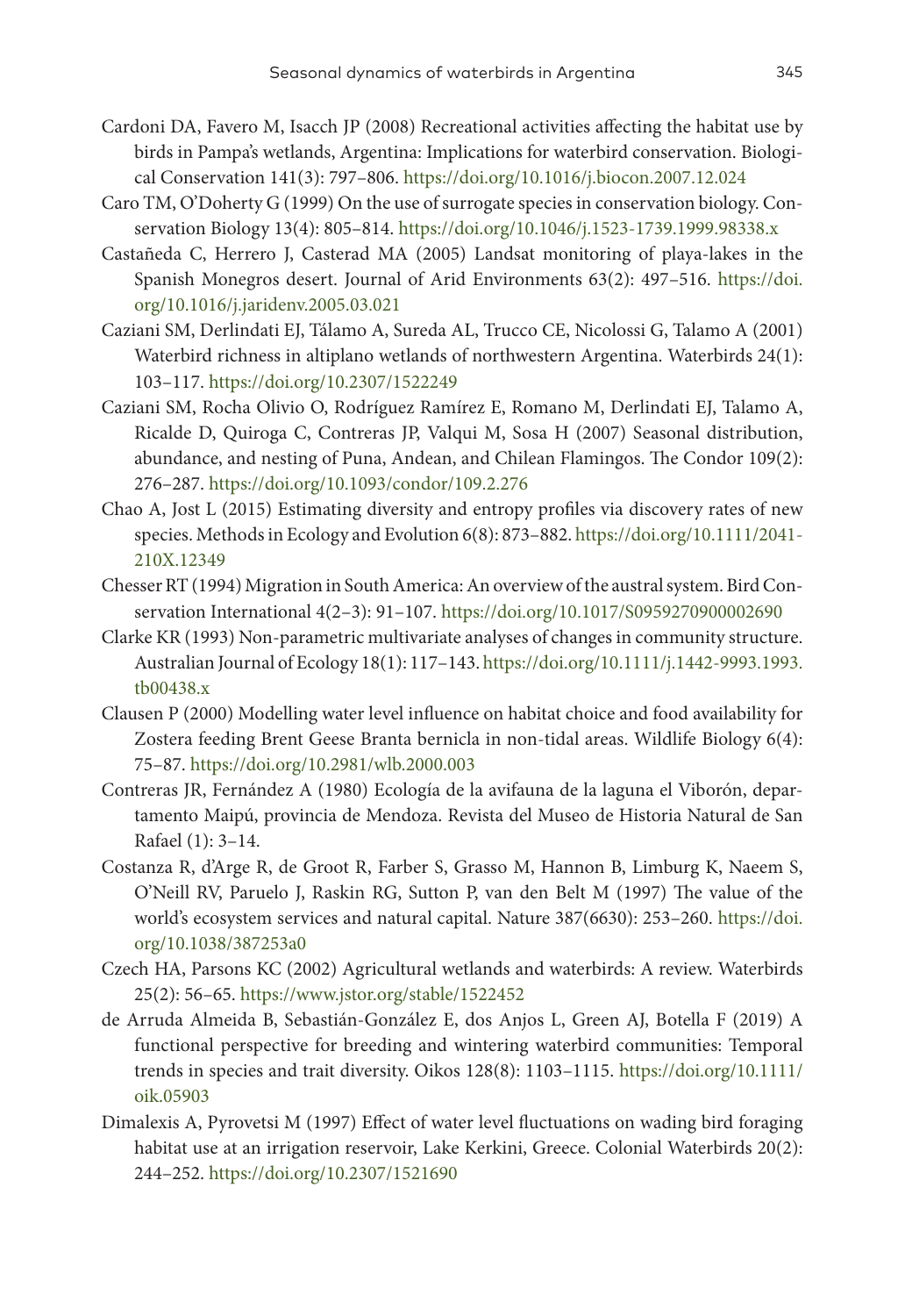- Cardoni DA, Favero M, Isacch JP (2008) Recreational activities affecting the habitat use by birds in Pampa's wetlands, Argentina: Implications for waterbird conservation. Biological Conservation 141(3): 797–806. <https://doi.org/10.1016/j.biocon.2007.12.024>
- Caro TM, O'Doherty G (1999) On the use of surrogate species in conservation biology. Conservation Biology 13(4): 805–814.<https://doi.org/10.1046/j.1523-1739.1999.98338.x>
- Castañeda C, Herrero J, Casterad MA (2005) Landsat monitoring of playa-lakes in the Spanish Monegros desert. Journal of Arid Environments 63(2): 497–516. [https://doi.](https://doi.org/10.1016/j.jaridenv.2005.03.021) [org/10.1016/j.jaridenv.2005.03.021](https://doi.org/10.1016/j.jaridenv.2005.03.021)
- Caziani SM, Derlindati EJ, Tálamo A, Sureda AL, Trucco CE, Nicolossi G, Talamo A (2001) Waterbird richness in altiplano wetlands of northwestern Argentina. Waterbirds 24(1): 103–117. <https://doi.org/10.2307/1522249>
- Caziani SM, Rocha Olivio O, Rodríguez Ramírez E, Romano M, Derlindati EJ, Talamo A, Ricalde D, Quiroga C, Contreras JP, Valqui M, Sosa H (2007) Seasonal distribution, abundance, and nesting of Puna, Andean, and Chilean Flamingos. The Condor 109(2): 276–287. <https://doi.org/10.1093/condor/109.2.276>
- Chao A, Jost L (2015) Estimating diversity and entropy profiles via discovery rates of new species. Methods in Ecology and Evolution 6(8): 873–882. [https://doi.org/10.1111/2041-](https://doi.org/10.1111/2041-210X.12349) [210X.12349](https://doi.org/10.1111/2041-210X.12349)
- Chesser RT (1994) Migration in South America: An overview of the austral system. Bird Conservation International 4(2–3): 91–107.<https://doi.org/10.1017/S0959270900002690>
- Clarke KR (1993) Non‐parametric multivariate analyses of changes in community structure. Australian Journal of Ecology 18(1): 117–143. [https://doi.org/10.1111/j.1442-9993.1993.](https://doi.org/10.1111/j.1442-9993.1993.tb00438.x) [tb00438.x](https://doi.org/10.1111/j.1442-9993.1993.tb00438.x)
- Clausen P (2000) Modelling water level influence on habitat choice and food availability for Zostera feeding Brent Geese Branta bernicla in non-tidal areas. Wildlife Biology 6(4): 75–87.<https://doi.org/10.2981/wlb.2000.003>
- Contreras JR, Fernández A (1980) Ecología de la avifauna de la laguna el Viborón, departamento Maipú, provincia de Mendoza. Revista del Museo de Historia Natural de San Rafael (1): 3–14.
- Costanza R, d'Arge R, de Groot R, Farber S, Grasso M, Hannon B, Limburg K, Naeem S, O'Neill RV, Paruelo J, Raskin RG, Sutton P, van den Belt M (1997) The value of the world's ecosystem services and natural capital. Nature 387(6630): 253–260. [https://doi.](https://doi.org/10.1038/387253a0) [org/10.1038/387253a0](https://doi.org/10.1038/387253a0)
- Czech HA, Parsons KC (2002) Agricultural wetlands and waterbirds: A review. Waterbirds 25(2): 56–65.<https://www.jstor.org/stable/1522452>
- de Arruda Almeida B, Sebastián‐González E, dos Anjos L, Green AJ, Botella F (2019) A functional perspective for breeding and wintering waterbird communities: Temporal trends in species and trait diversity. Oikos 128(8): 1103–1115. [https://doi.org/10.1111/](https://doi.org/10.1111/oik.05903) [oik.05903](https://doi.org/10.1111/oik.05903)
- Dimalexis A, Pyrovetsi M (1997) Effect of water level fluctuations on wading bird foraging habitat use at an irrigation reservoir, Lake Kerkini, Greece. Colonial Waterbirds 20(2): 244–252. <https://doi.org/10.2307/1521690>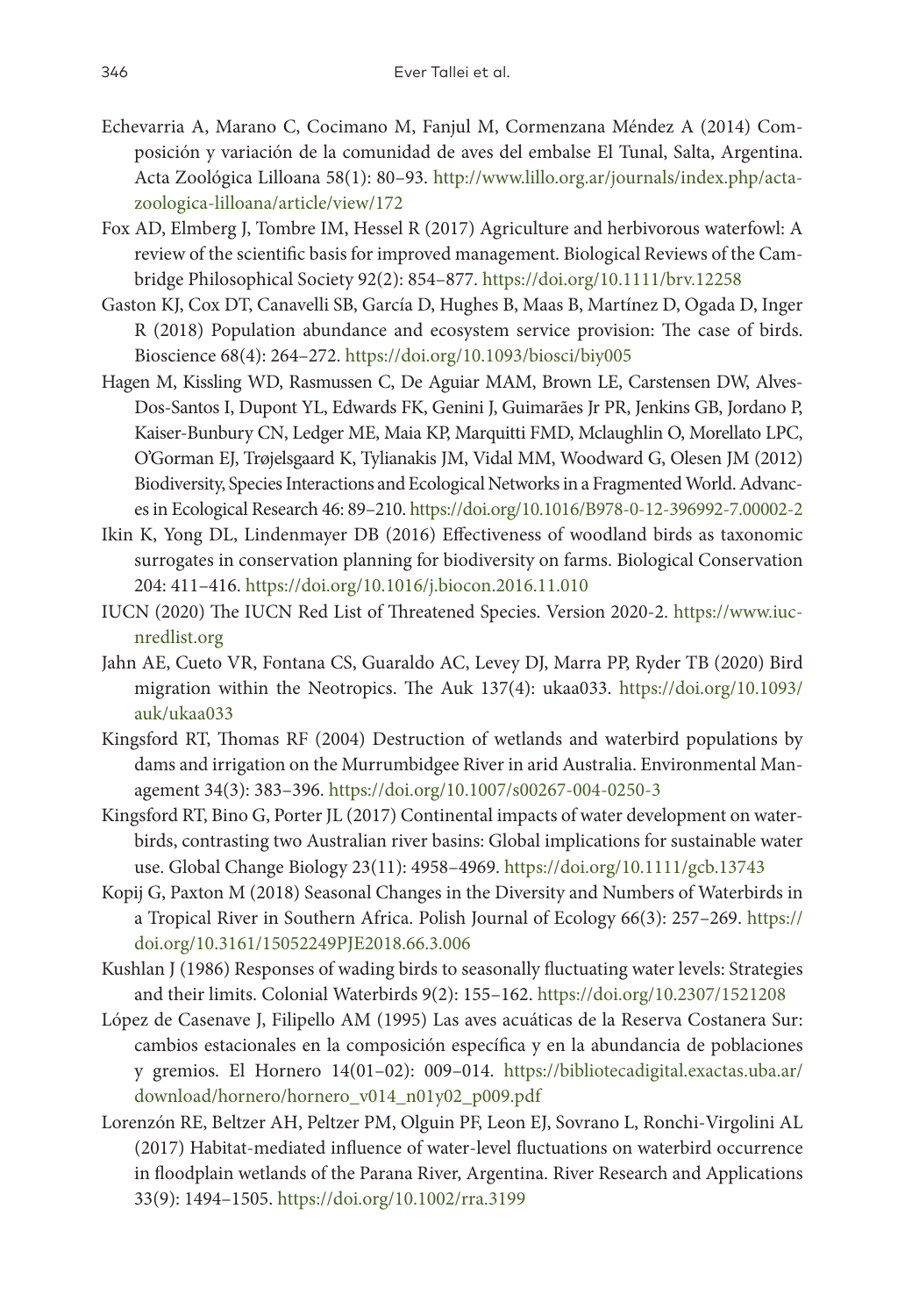- Echevarria A, Marano C, Cocimano M, Fanjul M, Cormenzana Méndez A (2014) Composición y variación de la comunidad de aves del embalse El Tunal, Salta, Argentina. Acta Zoológica Lilloana 58(1): 80–93. [http://www.lillo.org.ar/journals/index.php/acta](http://www.lillo.org.ar/journals/index.php/acta-zoologica-lilloana/article/view/172)[zoologica-lilloana/article/view/172](http://www.lillo.org.ar/journals/index.php/acta-zoologica-lilloana/article/view/172)
- Fox AD, Elmberg J, Tombre IM, Hessel R (2017) Agriculture and herbivorous waterfowl: A review of the scientific basis for improved management. Biological Reviews of the Cambridge Philosophical Society 92(2): 854–877. <https://doi.org/10.1111/brv.12258>
- Gaston KJ, Cox DT, Canavelli SB, García D, Hughes B, Maas B, Martínez D, Ogada D, Inger R (2018) Population abundance and ecosystem service provision: The case of birds. Bioscience 68(4): 264–272. <https://doi.org/10.1093/biosci/biy005>
- Hagen M, Kissling WD, Rasmussen C, De Aguiar MAM, Brown LE, Carstensen DW, Alves-Dos-Santos I, Dupont YL, Edwards FK, Genini J, Guimarães Jr PR, Jenkins GB, Jordano P, Kaiser-Bunbury CN, Ledger ME, Maia KP, Marquitti FMD, Mclaughlin O, Morellato LPC, O'Gorman EJ, Trøjelsgaard K, Tylianakis JM, Vidal MM, Woodward G, Olesen JM (2012) Biodiversity, Species Interactions and Ecological Networks in a Fragmented World. Advances in Ecological Research 46: 89–210.<https://doi.org/10.1016/B978-0-12-396992-7.00002-2>
- Ikin K, Yong DL, Lindenmayer DB (2016) Effectiveness of woodland birds as taxonomic surrogates in conservation planning for biodiversity on farms. Biological Conservation 204: 411–416. <https://doi.org/10.1016/j.biocon.2016.11.010>
- IUCN (2020) The IUCN Red List of Threatened Species. Version 2020-2. [https://www.iuc](https://www.iucnredlist.org)[nredlist.org](https://www.iucnredlist.org)
- Jahn AE, Cueto VR, Fontana CS, Guaraldo AC, Levey DJ, Marra PP, Ryder TB (2020) Bird migration within the Neotropics. The Auk 137(4): ukaa033. [https://doi.org/10.1093/](https://doi.org/10.1093/auk/ukaa033) [auk/ukaa033](https://doi.org/10.1093/auk/ukaa033)
- Kingsford RT, Thomas RF (2004) Destruction of wetlands and waterbird populations by dams and irrigation on the Murrumbidgee River in arid Australia. Environmental Management 34(3): 383–396.<https://doi.org/10.1007/s00267-004-0250-3>
- Kingsford RT, Bino G, Porter JL (2017) Continental impacts of water development on waterbirds, contrasting two Australian river basins: Global implications for sustainable water use. Global Change Biology 23(11): 4958–4969. <https://doi.org/10.1111/gcb.13743>
- Kopij G, Paxton M (2018) Seasonal Changes in the Diversity and Numbers of Waterbirds in a Tropical River in Southern Africa. Polish Journal of Ecology 66(3): 257–269. [https://](https://doi.org/10.3161/15052249PJE2018.66.3.006) [doi.org/10.3161/15052249PJE2018.66.3.006](https://doi.org/10.3161/15052249PJE2018.66.3.006)
- Kushlan J (1986) Responses of wading birds to seasonally fluctuating water levels: Strategies and their limits. Colonial Waterbirds 9(2): 155–162. <https://doi.org/10.2307/1521208>
- López de Casenave J, Filipello AM (1995) Las aves acuáticas de la Reserva Costanera Sur: cambios estacionales en la composición específica y en la abundancia de poblaciones y gremios. El Hornero 14(01–02): 009–014. [https://bibliotecadigital.exactas.uba.ar/](https://bibliotecadigital.exactas.uba.ar/download/hornero/hornero_v014_n01y02_p009.pdf) [download/hornero/hornero\\_v014\\_n01y02\\_p009.pdf](https://bibliotecadigital.exactas.uba.ar/download/hornero/hornero_v014_n01y02_p009.pdf)
- Lorenzón RE, Beltzer AH, Peltzer PM, Olguin PF, Leon EJ, Sovrano L, Ronchi‐Virgolini AL (2017) Habitat‐mediated influence of water‐level fluctuations on waterbird occurrence in floodplain wetlands of the Parana River, Argentina. River Research and Applications 33(9): 1494–1505.<https://doi.org/10.1002/rra.3199>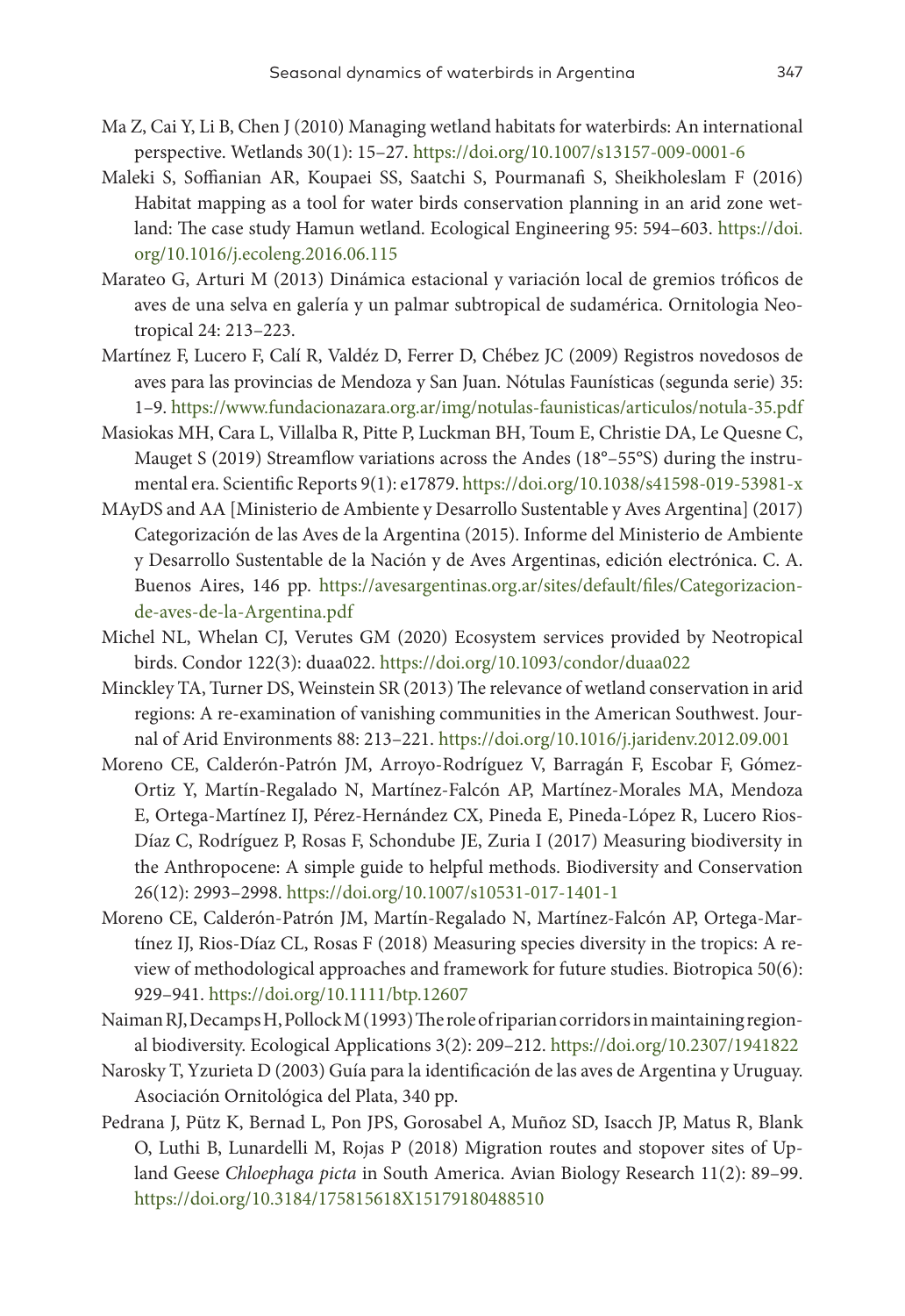- Ma Z, Cai Y, Li B, Chen J (2010) Managing wetland habitats for waterbirds: An international perspective. Wetlands 30(1): 15–27. <https://doi.org/10.1007/s13157-009-0001-6>
- Maleki S, Soffianian AR, Koupaei SS, Saatchi S, Pourmanafi S, Sheikholeslam F (2016) Habitat mapping as a tool for water birds conservation planning in an arid zone wetland: The case study Hamun wetland. Ecological Engineering 95: 594–603. [https://doi.](https://doi.org/10.1016/j.ecoleng.2016.06.115) [org/10.1016/j.ecoleng.2016.06.115](https://doi.org/10.1016/j.ecoleng.2016.06.115)
- Marateo G, Arturi M (2013) Dinámica estacional y variación local de gremios tróficos de aves de una selva en galería y un palmar subtropical de sudamérica. Ornitologia Neotropical 24: 213–223.
- Martínez F, Lucero F, Calí R, Valdéz D, Ferrer D, Chébez JC (2009) Registros novedosos de aves para las provincias de Mendoza y San Juan. Nótulas Faunísticas (segunda serie) 35: 1–9.<https://www.fundacionazara.org.ar/img/notulas-faunisticas/articulos/notula-35.pdf>
- Masiokas MH, Cara L, Villalba R, Pitte P, Luckman BH, Toum E, Christie DA, Le Quesne C, Mauget S (2019) Streamflow variations across the Andes (18°–55°S) during the instrumental era. Scientific Reports 9(1): e17879.<https://doi.org/10.1038/s41598-019-53981-x>
- MAyDS and AA [Ministerio de Ambiente y Desarrollo Sustentable y Aves Argentina] (2017) Categorización de las Aves de la Argentina (2015). Informe del Ministerio de Ambiente y Desarrollo Sustentable de la Nación y de Aves Argentinas, edición electrónica. C. A. Buenos Aires, 146 pp. [https://avesargentinas.org.ar/sites/default/files/Categorizacion](https://avesargentinas.org.ar/sites/default/files/Categorizacion-de-aves-de-la-Argentina.pdf)[de-aves-de-la-Argentina.pdf](https://avesargentinas.org.ar/sites/default/files/Categorizacion-de-aves-de-la-Argentina.pdf)
- Michel NL, Whelan CJ, Verutes GM (2020) Ecosystem services provided by Neotropical birds. Condor 122(3): duaa022.<https://doi.org/10.1093/condor/duaa022>
- Minckley TA, Turner DS, Weinstein SR (2013) The relevance of wetland conservation in arid regions: A re-examination of vanishing communities in the American Southwest. Journal of Arid Environments 88: 213–221. <https://doi.org/10.1016/j.jaridenv.2012.09.001>
- Moreno CE, Calderón-Patrón JM, Arroyo-Rodríguez V, Barragán F, Escobar F, Gómez-Ortiz Y, Martín-Regalado N, Martínez-Falcón AP, Martínez-Morales MA, Mendoza E, Ortega-Martínez IJ, Pérez-Hernández CX, Pineda E, Pineda-López R, Lucero Rios-Díaz C, Rodríguez P, Rosas F, Schondube JE, Zuria I (2017) Measuring biodiversity in the Anthropocene: A simple guide to helpful methods. Biodiversity and Conservation 26(12): 2993–2998.<https://doi.org/10.1007/s10531-017-1401-1>
- Moreno CE, Calderón‐Patrón JM, Martín‐Regalado N, Martínez‐Falcón AP, Ortega‐Martínez IJ, Rios‐Díaz CL, Rosas F (2018) Measuring species diversity in the tropics: A review of methodological approaches and framework for future studies. Biotropica 50(6): 929–941. <https://doi.org/10.1111/btp.12607>
- Naiman RJ, Decamps H, Pollock M (1993) The role of riparian corridors in maintaining regional biodiversity. Ecological Applications 3(2): 209–212. <https://doi.org/10.2307/1941822>
- Narosky T, Yzurieta D (2003) Guía para la identificación de las aves de Argentina y Uruguay. Asociación Ornitológica del Plata, 340 pp.
- Pedrana J, Pütz K, Bernad L, Pon JPS, Gorosabel A, Muñoz SD, Isacch JP, Matus R, Blank O, Luthi B, Lunardelli M, Rojas P (2018) Migration routes and stopover sites of Upland Geese *Chloephaga picta* in South America. Avian Biology Research 11(2): 89–99. <https://doi.org/10.3184/175815618X15179180488510>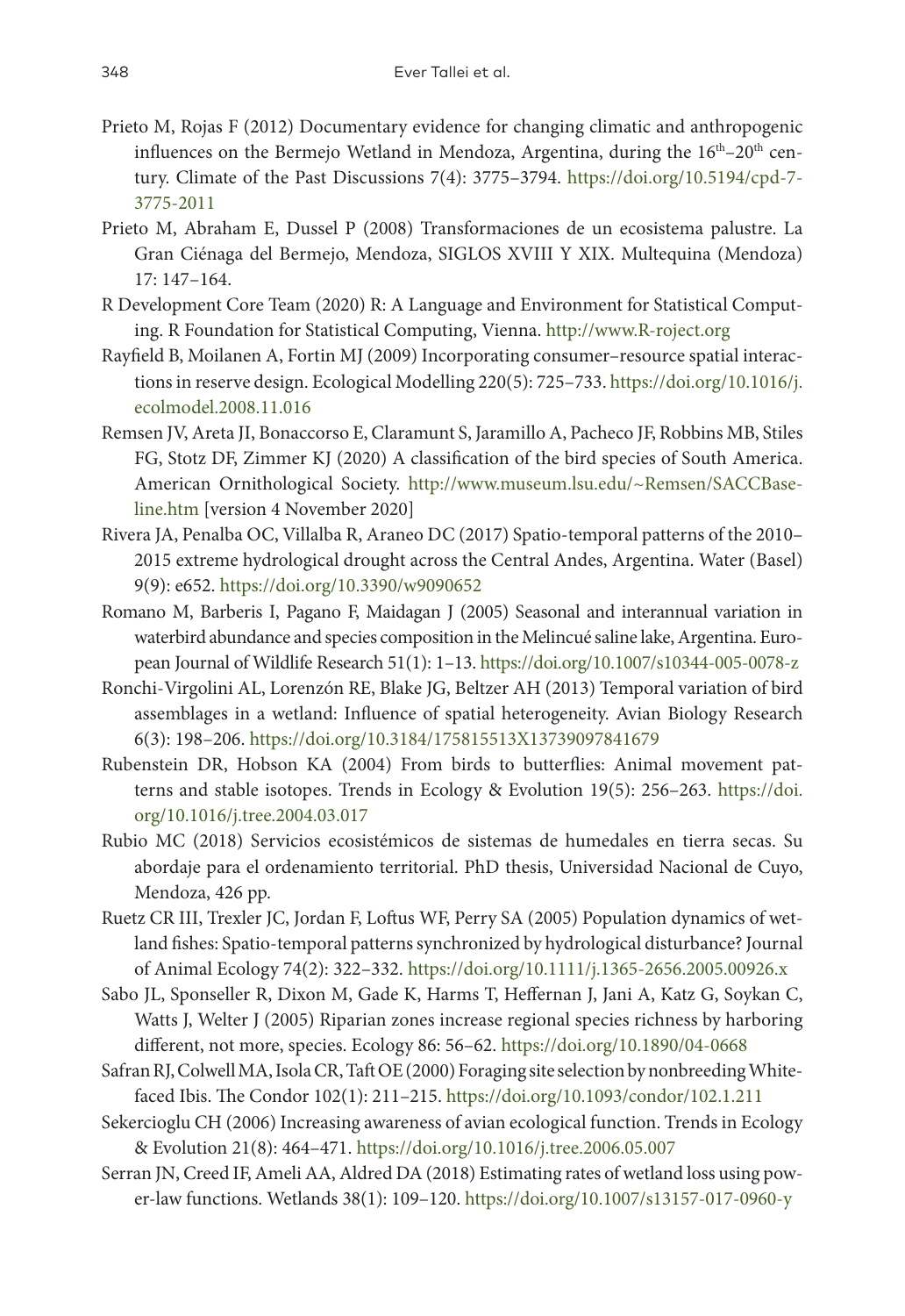- Prieto M, Rojas F (2012) Documentary evidence for changing climatic and anthropogenic influences on the Bermejo Wetland in Mendoza, Argentina, during the  $16<sup>th</sup>-20<sup>th</sup>$  century. Climate of the Past Discussions 7(4): 3775–3794. [https://doi.org/10.5194/cpd-7-](https://doi.org/10.5194/cpd-7-3775-2011) [3775-2011](https://doi.org/10.5194/cpd-7-3775-2011)
- Prieto M, Abraham E, Dussel P (2008) Transformaciones de un ecosistema palustre. La Gran Ciénaga del Bermejo, Mendoza, SIGLOS XVIII Y XIX. Multequina (Mendoza) 17: 147–164.
- R Development Core Team (2020) R: A Language and Environment for Statistical Computing. R Foundation for Statistical Computing, Vienna.<http://www.R-roject.org>
- Rayfield B, Moilanen A, Fortin MJ (2009) Incorporating consumer–resource spatial interactions in reserve design. Ecological Modelling 220(5): 725–733. [https://doi.org/10.1016/j.](https://doi.org/10.1016/j.ecolmodel.2008.11.016) [ecolmodel.2008.11.016](https://doi.org/10.1016/j.ecolmodel.2008.11.016)
- Remsen JV, Areta JI, Bonaccorso E, Claramunt S, Jaramillo A, Pacheco JF, Robbins MB, Stiles FG, Stotz DF, Zimmer KJ (2020) A classification of the bird species of South America. American Ornithological Society. [http://www.museum.lsu.edu/~Remsen/SACCBase](http://www.museum.lsu.edu/~Remsen/SACCBaseline.htm)[line.htm](http://www.museum.lsu.edu/~Remsen/SACCBaseline.htm) [version 4 November 2020]
- Rivera JA, Penalba OC, Villalba R, Araneo DC (2017) Spatio-temporal patterns of the 2010– 2015 extreme hydrological drought across the Central Andes, Argentina. Water (Basel) 9(9): e652. <https://doi.org/10.3390/w9090652>
- Romano M, Barberis I, Pagano F, Maidagan J (2005) Seasonal and interannual variation in waterbird abundance and species composition in the Melincué saline lake, Argentina. European Journal of Wildlife Research 51(1): 1–13.<https://doi.org/10.1007/s10344-005-0078-z>
- Ronchi-Virgolini AL, Lorenzón RE, Blake JG, Beltzer AH (2013) Temporal variation of bird assemblages in a wetland: Influence of spatial heterogeneity. Avian Biology Research 6(3): 198–206.<https://doi.org/10.3184/175815513X13739097841679>
- Rubenstein DR, Hobson KA (2004) From birds to butterflies: Animal movement patterns and stable isotopes. Trends in Ecology & Evolution 19(5): 256–263. [https://doi.](https://doi.org/10.1016/j.tree.2004.03.017) [org/10.1016/j.tree.2004.03.017](https://doi.org/10.1016/j.tree.2004.03.017)
- Rubio MC (2018) Servicios ecosistémicos de sistemas de humedales en tierra secas. Su abordaje para el ordenamiento territorial. PhD thesis, Universidad Nacional de Cuyo, Mendoza, 426 pp.
- Ruetz CR III, Trexler JC, Jordan F, Loftus WF, Perry SA (2005) Population dynamics of wetland fishes: Spatio-temporal patterns synchronized by hydrological disturbance? Journal of Animal Ecology 74(2): 322–332. <https://doi.org/10.1111/j.1365-2656.2005.00926.x>
- Sabo JL, Sponseller R, Dixon M, Gade K, Harms T, Heffernan J, Jani A, Katz G, Soykan C, Watts J, Welter J (2005) Riparian zones increase regional species richness by harboring different, not more, species. Ecology 86: 56–62.<https://doi.org/10.1890/04-0668>
- Safran RJ, Colwell MA, Isola CR, Taft OE (2000) Foraging site selection by nonbreeding Whitefaced Ibis. The Condor 102(1): 211–215. <https://doi.org/10.1093/condor/102.1.211>
- Sekercioglu CH (2006) Increasing awareness of avian ecological function. Trends in Ecology & Evolution 21(8): 464–471.<https://doi.org/10.1016/j.tree.2006.05.007>
- Serran JN, Creed IF, Ameli AA, Aldred DA (2018) Estimating rates of wetland loss using power-law functions. Wetlands 38(1): 109–120.<https://doi.org/10.1007/s13157-017-0960-y>